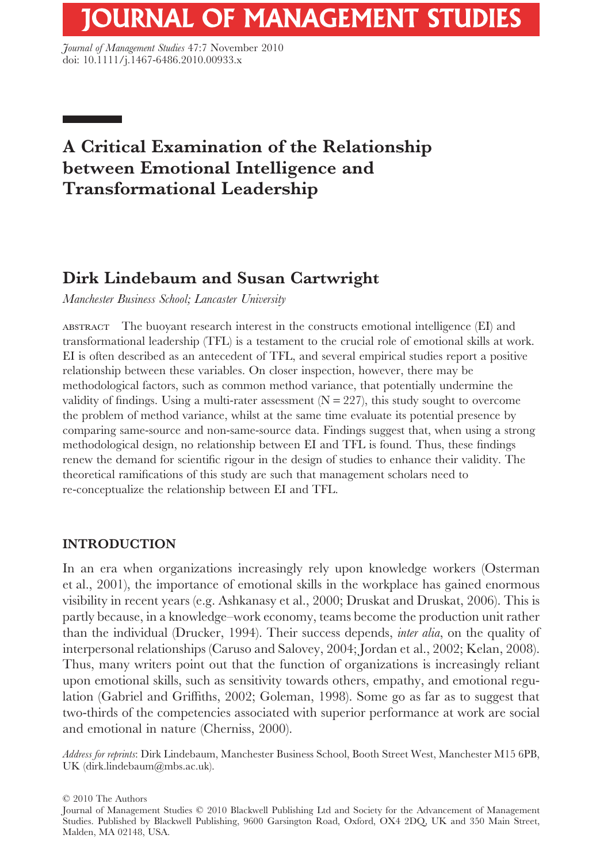# **JOURNAL OF MANAGEMENT STUDIES**

*Journal of Management Studies* 47:7 November 2010 doi: 10.1111/j.1467-6486.2010.00933.x

# **A Critical Examination of the Relationship between Emotional Intelligence and Transformational Leadership**

# **Dirk Lindebaum and Susan Cartwright**

*Manchester Business School; Lancaster University*

abstract The buoyant research interest in the constructs emotional intelligence (EI) and transformational leadership (TFL) is a testament to the crucial role of emotional skills at work. EI is often described as an antecedent of TFL, and several empirical studies report a positive relationship between these variables. On closer inspection, however, there may be methodological factors, such as common method variance, that potentially undermine the validity of findings. Using a multi-rater assessment  $(N = 227)$ , this study sought to overcome the problem of method variance, whilst at the same time evaluate its potential presence by comparing same-source and non-same-source data. Findings suggest that, when using a strong methodological design, no relationship between EI and TFL is found. Thus, these findings renew the demand for scientific rigour in the design of studies to enhance their validity. The theoretical ramifications of this study are such that management scholars need to re-conceptualize the relationship between EI and TFL.

# **INTRODUCTION**

In an era when organizations increasingly rely upon knowledge workers (Osterman et al., 2001), the importance of emotional skills in the workplace has gained enormous visibility in recent years (e.g. Ashkanasy et al., 2000; Druskat and Druskat, 2006). This is partly because, in a knowledge–work economy, teams become the production unit rather than the individual (Drucker, 1994). Their success depends, *inter alia*, on the quality of interpersonal relationships (Caruso and Salovey, 2004; Jordan et al., 2002; Kelan, 2008). Thus, many writers point out that the function of organizations is increasingly reliant upon emotional skills, such as sensitivity towards others, empathy, and emotional regulation (Gabriel and Griffiths, 2002; Goleman, 1998). Some go as far as to suggest that two-thirds of the competencies associated with superior performance at work are social and emotional in nature (Cherniss, 2000).

*Address for reprints*: Dirk Lindebaum, Manchester Business School, Booth Street West, Manchester M15 6PB, UK (dirk.lindebaum@mbs.ac.uk).

<sup>© 2010</sup> The Authors

Journal of Management Studies © 2010 Blackwell Publishing Ltd and Society for the Advancement of Management Studies. Published by Blackwell Publishing, 9600 Garsington Road, Oxford, OX4 2DQ, UK and 350 Main Street, Malden, MA 02148, USA.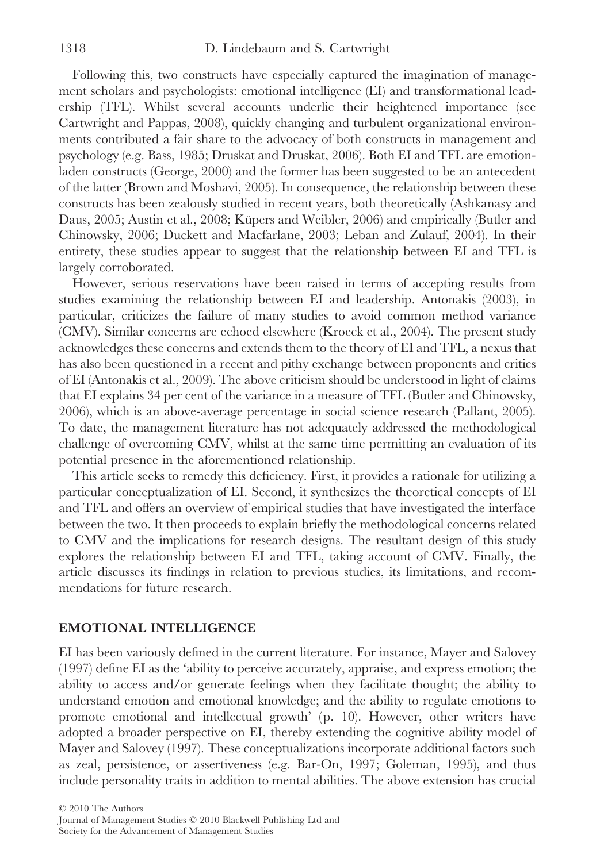Following this, two constructs have especially captured the imagination of management scholars and psychologists: emotional intelligence (EI) and transformational leadership (TFL). Whilst several accounts underlie their heightened importance (see Cartwright and Pappas, 2008), quickly changing and turbulent organizational environments contributed a fair share to the advocacy of both constructs in management and psychology (e.g. Bass, 1985; Druskat and Druskat, 2006). Both EI and TFL are emotionladen constructs (George, 2000) and the former has been suggested to be an antecedent of the latter (Brown and Moshavi, 2005). In consequence, the relationship between these constructs has been zealously studied in recent years, both theoretically (Ashkanasy and Daus, 2005; Austin et al., 2008; Küpers and Weibler, 2006) and empirically (Butler and Chinowsky, 2006; Duckett and Macfarlane, 2003; Leban and Zulauf, 2004). In their entirety, these studies appear to suggest that the relationship between EI and TFL is largely corroborated.

However, serious reservations have been raised in terms of accepting results from studies examining the relationship between EI and leadership. Antonakis (2003), in particular, criticizes the failure of many studies to avoid common method variance (CMV). Similar concerns are echoed elsewhere (Kroeck et al., 2004). The present study acknowledges these concerns and extends them to the theory of EI and TFL, a nexus that has also been questioned in a recent and pithy exchange between proponents and critics of EI (Antonakis et al., 2009). The above criticism should be understood in light of claims that EI explains 34 per cent of the variance in a measure of TFL (Butler and Chinowsky, 2006), which is an above-average percentage in social science research (Pallant, 2005). To date, the management literature has not adequately addressed the methodological challenge of overcoming CMV, whilst at the same time permitting an evaluation of its potential presence in the aforementioned relationship.

This article seeks to remedy this deficiency. First, it provides a rationale for utilizing a particular conceptualization of EI. Second, it synthesizes the theoretical concepts of EI and TFL and offers an overview of empirical studies that have investigated the interface between the two. It then proceeds to explain briefly the methodological concerns related to CMV and the implications for research designs. The resultant design of this study explores the relationship between EI and TFL, taking account of CMV. Finally, the article discusses its findings in relation to previous studies, its limitations, and recommendations for future research.

#### **EMOTIONAL INTELLIGENCE**

EI has been variously defined in the current literature. For instance, Mayer and Salovey (1997) define EI as the 'ability to perceive accurately, appraise, and express emotion; the ability to access and/or generate feelings when they facilitate thought; the ability to understand emotion and emotional knowledge; and the ability to regulate emotions to promote emotional and intellectual growth' (p. 10). However, other writers have adopted a broader perspective on EI, thereby extending the cognitive ability model of Mayer and Salovey (1997). These conceptualizations incorporate additional factors such as zeal, persistence, or assertiveness (e.g. Bar-On, 1997; Goleman, 1995), and thus include personality traits in addition to mental abilities. The above extension has crucial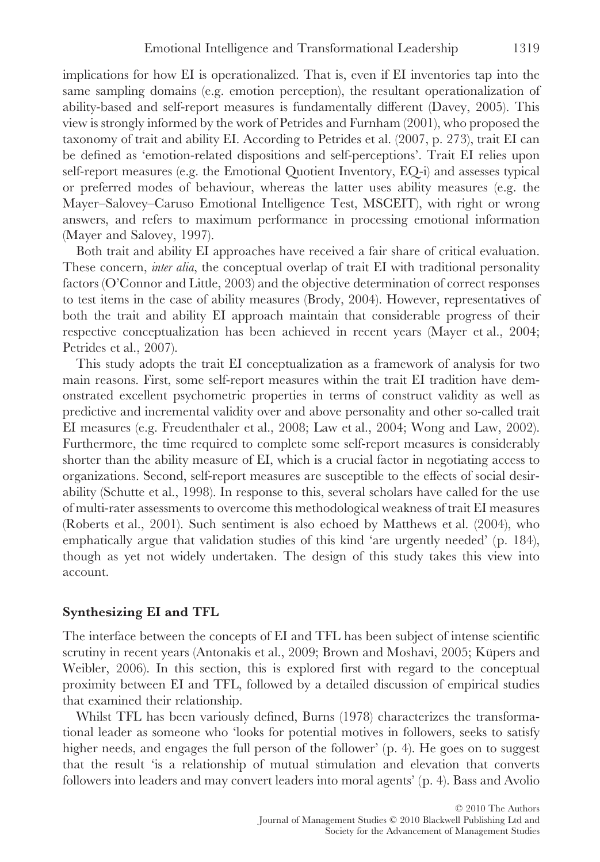implications for how EI is operationalized. That is, even if EI inventories tap into the same sampling domains (e.g. emotion perception), the resultant operationalization of ability-based and self-report measures is fundamentally different (Davey, 2005). This view is strongly informed by the work of Petrides and Furnham (2001), who proposed the taxonomy of trait and ability EI. According to Petrides et al. (2007, p. 273), trait EI can be defined as 'emotion-related dispositions and self-perceptions'. Trait EI relies upon self-report measures (e.g. the Emotional Quotient Inventory, EQ-i) and assesses typical or preferred modes of behaviour, whereas the latter uses ability measures (e.g. the Mayer–Salovey–Caruso Emotional Intelligence Test, MSCEIT), with right or wrong answers, and refers to maximum performance in processing emotional information (Mayer and Salovey, 1997).

Both trait and ability EI approaches have received a fair share of critical evaluation. These concern, *inter alia*, the conceptual overlap of trait EI with traditional personality factors (O'Connor and Little, 2003) and the objective determination of correct responses to test items in the case of ability measures (Brody, 2004). However, representatives of both the trait and ability EI approach maintain that considerable progress of their respective conceptualization has been achieved in recent years (Mayer et al., 2004; Petrides et al., 2007).

This study adopts the trait EI conceptualization as a framework of analysis for two main reasons. First, some self-report measures within the trait EI tradition have demonstrated excellent psychometric properties in terms of construct validity as well as predictive and incremental validity over and above personality and other so-called trait EI measures (e.g. Freudenthaler et al., 2008; Law et al., 2004; Wong and Law, 2002). Furthermore, the time required to complete some self-report measures is considerably shorter than the ability measure of EI, which is a crucial factor in negotiating access to organizations. Second, self-report measures are susceptible to the effects of social desirability (Schutte et al., 1998). In response to this, several scholars have called for the use of multi-rater assessments to overcome this methodological weakness of trait EI measures (Roberts et al., 2001). Such sentiment is also echoed by Matthews et al. (2004), who emphatically argue that validation studies of this kind 'are urgently needed' (p. 184), though as yet not widely undertaken. The design of this study takes this view into account.

# **Synthesizing EI and TFL**

The interface between the concepts of EI and TFL has been subject of intense scientific scrutiny in recent years (Antonakis et al., 2009; Brown and Moshavi, 2005; Küpers and Weibler, 2006). In this section, this is explored first with regard to the conceptual proximity between EI and TFL, followed by a detailed discussion of empirical studies that examined their relationship.

Whilst TFL has been variously defined, Burns (1978) characterizes the transformational leader as someone who 'looks for potential motives in followers, seeks to satisfy higher needs, and engages the full person of the follower' (p. 4). He goes on to suggest that the result 'is a relationship of mutual stimulation and elevation that converts followers into leaders and may convert leaders into moral agents' (p. 4). Bass and Avolio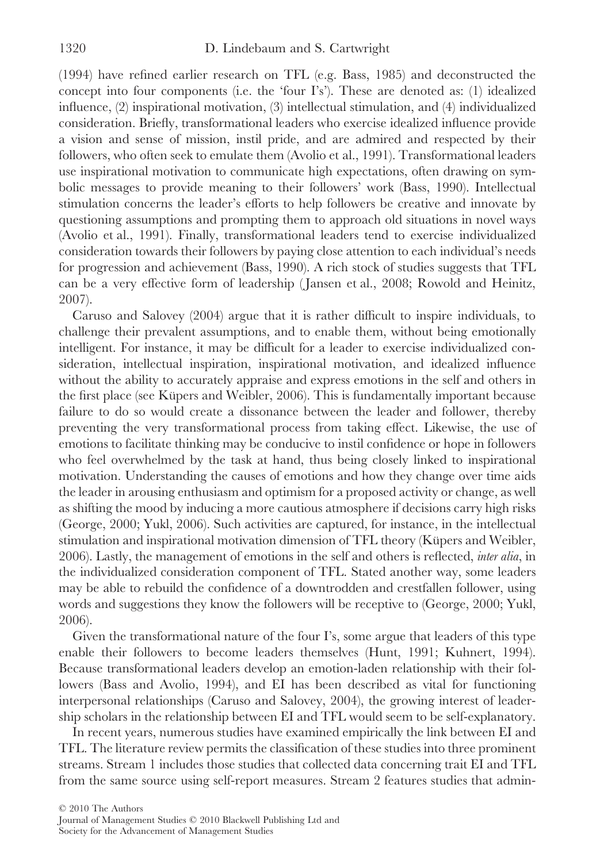(1994) have refined earlier research on TFL (e.g. Bass, 1985) and deconstructed the concept into four components (i.e. the 'four I's'). These are denoted as: (1) idealized influence, (2) inspirational motivation, (3) intellectual stimulation, and (4) individualized consideration. Briefly, transformational leaders who exercise idealized influence provide a vision and sense of mission, instil pride, and are admired and respected by their followers, who often seek to emulate them (Avolio et al., 1991). Transformational leaders use inspirational motivation to communicate high expectations, often drawing on symbolic messages to provide meaning to their followers' work (Bass, 1990). Intellectual stimulation concerns the leader's efforts to help followers be creative and innovate by questioning assumptions and prompting them to approach old situations in novel ways (Avolio et al., 1991). Finally, transformational leaders tend to exercise individualized consideration towards their followers by paying close attention to each individual's needs for progression and achievement (Bass, 1990). A rich stock of studies suggests that TFL can be a very effective form of leadership ( Jansen et al., 2008; Rowold and Heinitz, 2007).

Caruso and Salovey (2004) argue that it is rather difficult to inspire individuals, to challenge their prevalent assumptions, and to enable them, without being emotionally intelligent. For instance, it may be difficult for a leader to exercise individualized consideration, intellectual inspiration, inspirational motivation, and idealized influence without the ability to accurately appraise and express emotions in the self and others in the first place (see Küpers and Weibler, 2006). This is fundamentally important because failure to do so would create a dissonance between the leader and follower, thereby preventing the very transformational process from taking effect. Likewise, the use of emotions to facilitate thinking may be conducive to instil confidence or hope in followers who feel overwhelmed by the task at hand, thus being closely linked to inspirational motivation. Understanding the causes of emotions and how they change over time aids the leader in arousing enthusiasm and optimism for a proposed activity or change, as well as shifting the mood by inducing a more cautious atmosphere if decisions carry high risks (George, 2000; Yukl, 2006). Such activities are captured, for instance, in the intellectual stimulation and inspirational motivation dimension of TFL theory (Küpers and Weibler, 2006). Lastly, the management of emotions in the self and others is reflected, *inter alia*, in the individualized consideration component of TFL. Stated another way, some leaders may be able to rebuild the confidence of a downtrodden and crestfallen follower, using words and suggestions they know the followers will be receptive to (George, 2000; Yukl, 2006).

Given the transformational nature of the four I's, some argue that leaders of this type enable their followers to become leaders themselves (Hunt, 1991; Kuhnert, 1994). Because transformational leaders develop an emotion-laden relationship with their followers (Bass and Avolio, 1994), and EI has been described as vital for functioning interpersonal relationships (Caruso and Salovey, 2004), the growing interest of leadership scholars in the relationship between EI and TFL would seem to be self-explanatory.

In recent years, numerous studies have examined empirically the link between EI and TFL. The literature review permits the classification of these studies into three prominent streams. Stream 1 includes those studies that collected data concerning trait EI and TFL from the same source using self-report measures. Stream 2 features studies that admin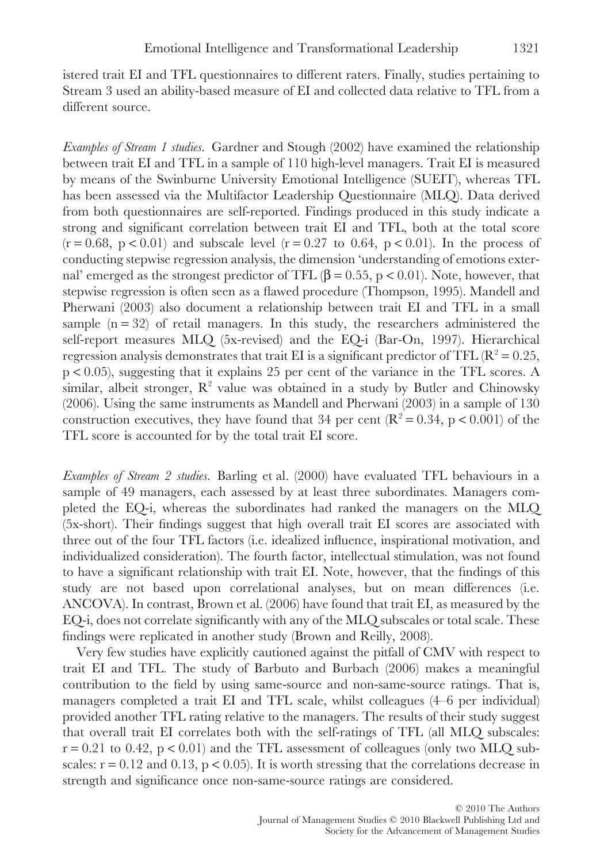istered trait EI and TFL questionnaires to different raters. Finally, studies pertaining to Stream 3 used an ability-based measure of EI and collected data relative to TFL from a different source.

*Examples of Stream 1 studies.* Gardner and Stough (2002) have examined the relationship between trait EI and TFL in a sample of 110 high-level managers. Trait EI is measured by means of the Swinburne University Emotional Intelligence (SUEIT), whereas TFL has been assessed via the Multifactor Leadership Questionnaire (MLQ). Data derived from both questionnaires are self-reported. Findings produced in this study indicate a strong and significant correlation between trait EI and TFL, both at the total score  $(r = 0.68, p < 0.01)$  and subscale level  $(r = 0.27 \text{ to } 0.64, p < 0.01)$ . In the process of conducting stepwise regression analysis, the dimension 'understanding of emotions external' emerged as the strongest predictor of TFL  $(\beta = 0.55, p < 0.01)$ . Note, however, that stepwise regression is often seen as a flawed procedure (Thompson, 1995). Mandell and Pherwani (2003) also document a relationship between trait EI and TFL in a small sample  $(n = 32)$  of retail managers. In this study, the researchers administered the self-report measures MLQ (5x-revised) and the EQ-i (Bar-On, 1997). Hierarchical regression analysis demonstrates that trait EI is a significant predictor of TFL ( $\mathbb{R}^2 = 0.25$ , p < 0.05), suggesting that it explains 25 per cent of the variance in the TFL scores. A similar, albeit stronger,  $\mathbb{R}^2$  value was obtained in a study by Butler and Chinowsky (2006). Using the same instruments as Mandell and Pherwani (2003) in a sample of 130 construction executives, they have found that 34 per cent ( $\mathbb{R}^2 = 0.34$ , p < 0.001) of the TFL score is accounted for by the total trait EI score.

*Examples of Stream 2 studies.* Barling et al. (2000) have evaluated TFL behaviours in a sample of 49 managers, each assessed by at least three subordinates. Managers completed the EQ-i, whereas the subordinates had ranked the managers on the MLQ (5x-short). Their findings suggest that high overall trait EI scores are associated with three out of the four TFL factors (i.e. idealized influence, inspirational motivation, and individualized consideration). The fourth factor, intellectual stimulation, was not found to have a significant relationship with trait EI. Note, however, that the findings of this study are not based upon correlational analyses, but on mean differences (i.e. ANCOVA). In contrast, Brown et al. (2006) have found that trait EI, as measured by the EQ-i, does not correlate significantly with any of the MLQ subscales or total scale. These findings were replicated in another study (Brown and Reilly, 2008).

Very few studies have explicitly cautioned against the pitfall of CMV with respect to trait EI and TFL. The study of Barbuto and Burbach (2006) makes a meaningful contribution to the field by using same-source and non-same-source ratings. That is, managers completed a trait EI and TFL scale, whilst colleagues (4–6 per individual) provided another TFL rating relative to the managers. The results of their study suggest that overall trait EI correlates both with the self-ratings of TFL (all MLQ subscales:  $r = 0.21$  to 0.42,  $p < 0.01$ ) and the TFL assessment of colleagues (only two MLQ subscales:  $r = 0.12$  and  $0.13$ ,  $p < 0.05$ ). It is worth stressing that the correlations decrease in strength and significance once non-same-source ratings are considered.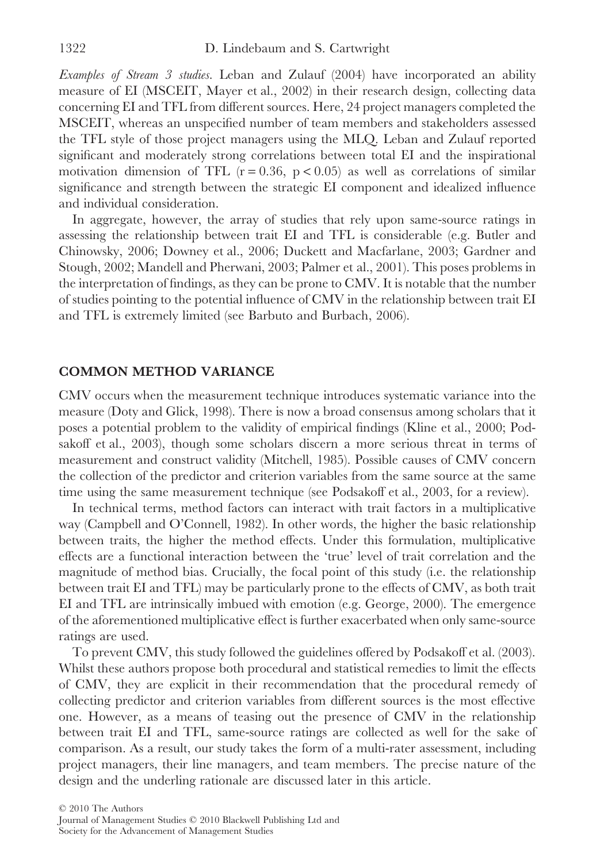*Examples of Stream 3 studies.* Leban and Zulauf (2004) have incorporated an ability measure of EI (MSCEIT, Mayer et al., 2002) in their research design, collecting data concerning EI and TFL from different sources. Here, 24 project managers completed the MSCEIT, whereas an unspecified number of team members and stakeholders assessed the TFL style of those project managers using the MLQ. Leban and Zulauf reported significant and moderately strong correlations between total EI and the inspirational motivation dimension of TFL  $(r = 0.36, p < 0.05)$  as well as correlations of similar significance and strength between the strategic EI component and idealized influence and individual consideration.

In aggregate, however, the array of studies that rely upon same-source ratings in assessing the relationship between trait EI and TFL is considerable (e.g. Butler and Chinowsky, 2006; Downey et al., 2006; Duckett and Macfarlane, 2003; Gardner and Stough, 2002; Mandell and Pherwani, 2003; Palmer et al., 2001). This poses problems in the interpretation of findings, as they can be prone to CMV. It is notable that the number of studies pointing to the potential influence of CMV in the relationship between trait EI and TFL is extremely limited (see Barbuto and Burbach, 2006).

#### **COMMON METHOD VARIANCE**

CMV occurs when the measurement technique introduces systematic variance into the measure (Doty and Glick, 1998). There is now a broad consensus among scholars that it poses a potential problem to the validity of empirical findings (Kline et al., 2000; Podsakoff et al., 2003), though some scholars discern a more serious threat in terms of measurement and construct validity (Mitchell, 1985). Possible causes of CMV concern the collection of the predictor and criterion variables from the same source at the same time using the same measurement technique (see Podsakoff et al., 2003, for a review).

In technical terms, method factors can interact with trait factors in a multiplicative way (Campbell and O'Connell, 1982). In other words, the higher the basic relationship between traits, the higher the method effects. Under this formulation, multiplicative effects are a functional interaction between the 'true' level of trait correlation and the magnitude of method bias. Crucially, the focal point of this study (i.e. the relationship between trait EI and TFL) may be particularly prone to the effects of CMV, as both trait EI and TFL are intrinsically imbued with emotion (e.g. George, 2000). The emergence of the aforementioned multiplicative effect is further exacerbated when only same-source ratings are used.

To prevent CMV, this study followed the guidelines offered by Podsakoff et al. (2003). Whilst these authors propose both procedural and statistical remedies to limit the effects of CMV, they are explicit in their recommendation that the procedural remedy of collecting predictor and criterion variables from different sources is the most effective one. However, as a means of teasing out the presence of CMV in the relationship between trait EI and TFL, same-source ratings are collected as well for the sake of comparison. As a result, our study takes the form of a multi-rater assessment, including project managers, their line managers, and team members. The precise nature of the design and the underling rationale are discussed later in this article.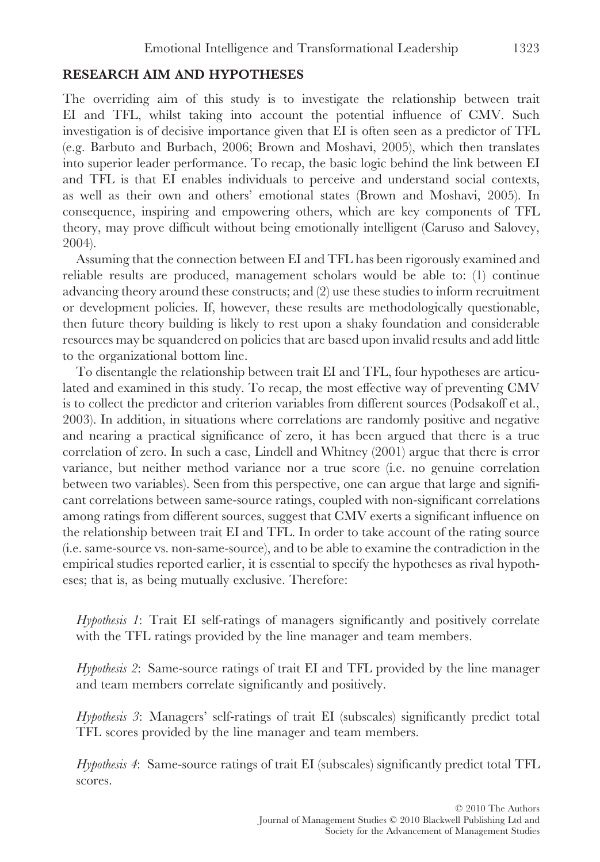# **RESEARCH AIM AND HYPOTHESES**

The overriding aim of this study is to investigate the relationship between trait EI and TFL, whilst taking into account the potential influence of CMV. Such investigation is of decisive importance given that EI is often seen as a predictor of TFL (e.g. Barbuto and Burbach, 2006; Brown and Moshavi, 2005), which then translates into superior leader performance. To recap, the basic logic behind the link between EI and TFL is that EI enables individuals to perceive and understand social contexts, as well as their own and others' emotional states (Brown and Moshavi, 2005). In consequence, inspiring and empowering others, which are key components of TFL theory, may prove difficult without being emotionally intelligent (Caruso and Salovey, 2004).

Assuming that the connection between EI and TFL has been rigorously examined and reliable results are produced, management scholars would be able to: (1) continue advancing theory around these constructs; and (2) use these studies to inform recruitment or development policies. If, however, these results are methodologically questionable, then future theory building is likely to rest upon a shaky foundation and considerable resources may be squandered on policies that are based upon invalid results and add little to the organizational bottom line.

To disentangle the relationship between trait EI and TFL, four hypotheses are articulated and examined in this study. To recap, the most effective way of preventing CMV is to collect the predictor and criterion variables from different sources (Podsakoff et al., 2003). In addition, in situations where correlations are randomly positive and negative and nearing a practical significance of zero, it has been argued that there is a true correlation of zero. In such a case, Lindell and Whitney (2001) argue that there is error variance, but neither method variance nor a true score (i.e. no genuine correlation between two variables). Seen from this perspective, one can argue that large and significant correlations between same-source ratings, coupled with non-significant correlations among ratings from different sources, suggest that CMV exerts a significant influence on the relationship between trait EI and TFL. In order to take account of the rating source (i.e. same-source vs. non-same-source), and to be able to examine the contradiction in the empirical studies reported earlier, it is essential to specify the hypotheses as rival hypotheses; that is, as being mutually exclusive. Therefore:

*Hypothesis 1*: Trait EI self-ratings of managers significantly and positively correlate with the TFL ratings provided by the line manager and team members.

*Hypothesis 2*: Same-source ratings of trait EI and TFL provided by the line manager and team members correlate significantly and positively.

*Hypothesis 3*: Managers' self-ratings of trait EI (subscales) significantly predict total TFL scores provided by the line manager and team members.

*Hypothesis 4*: Same-source ratings of trait EI (subscales) significantly predict total TFL scores.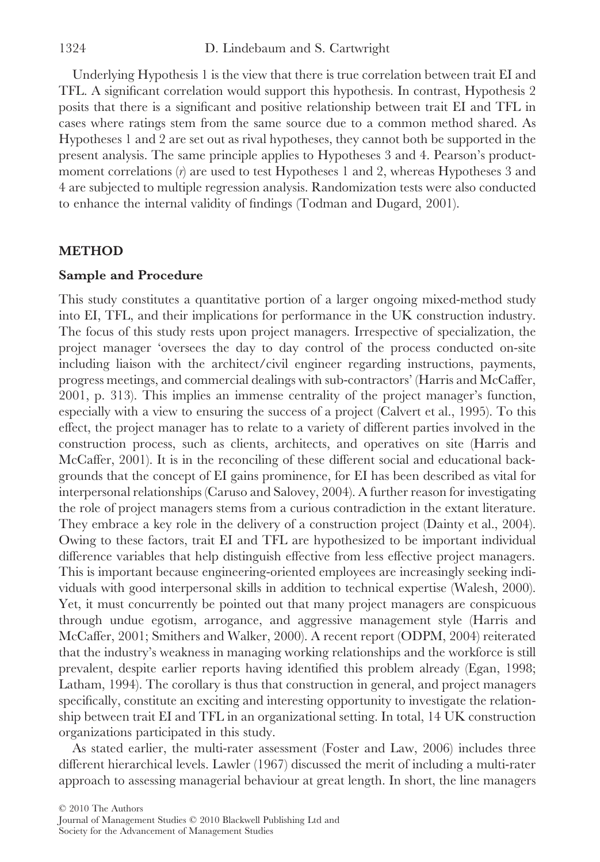Underlying Hypothesis 1 is the view that there is true correlation between trait EI and TFL. A significant correlation would support this hypothesis. In contrast, Hypothesis 2 posits that there is a significant and positive relationship between trait EI and TFL in cases where ratings stem from the same source due to a common method shared. As Hypotheses 1 and 2 are set out as rival hypotheses, they cannot both be supported in the present analysis. The same principle applies to Hypotheses 3 and 4. Pearson's productmoment correlations (*r*) are used to test Hypotheses 1 and 2, whereas Hypotheses 3 and 4 are subjected to multiple regression analysis. Randomization tests were also conducted to enhance the internal validity of findings (Todman and Dugard, 2001).

#### **METHOD**

#### **Sample and Procedure**

This study constitutes a quantitative portion of a larger ongoing mixed-method study into EI, TFL, and their implications for performance in the UK construction industry. The focus of this study rests upon project managers. Irrespective of specialization, the project manager 'oversees the day to day control of the process conducted on-site including liaison with the architect/civil engineer regarding instructions, payments, progress meetings, and commercial dealings with sub-contractors' (Harris and McCaffer, 2001, p. 313). This implies an immense centrality of the project manager's function, especially with a view to ensuring the success of a project (Calvert et al., 1995). To this effect, the project manager has to relate to a variety of different parties involved in the construction process, such as clients, architects, and operatives on site (Harris and McCaffer, 2001). It is in the reconciling of these different social and educational backgrounds that the concept of EI gains prominence, for EI has been described as vital for interpersonal relationships (Caruso and Salovey, 2004). A further reason for investigating the role of project managers stems from a curious contradiction in the extant literature. They embrace a key role in the delivery of a construction project (Dainty et al., 2004). Owing to these factors, trait EI and TFL are hypothesized to be important individual difference variables that help distinguish effective from less effective project managers. This is important because engineering-oriented employees are increasingly seeking individuals with good interpersonal skills in addition to technical expertise (Walesh, 2000). Yet, it must concurrently be pointed out that many project managers are conspicuous through undue egotism, arrogance, and aggressive management style (Harris and McCaffer, 2001; Smithers and Walker, 2000). A recent report (ODPM, 2004) reiterated that the industry's weakness in managing working relationships and the workforce is still prevalent, despite earlier reports having identified this problem already (Egan, 1998; Latham, 1994). The corollary is thus that construction in general, and project managers specifically, constitute an exciting and interesting opportunity to investigate the relationship between trait EI and TFL in an organizational setting. In total, 14 UK construction organizations participated in this study.

As stated earlier, the multi-rater assessment (Foster and Law, 2006) includes three different hierarchical levels. Lawler (1967) discussed the merit of including a multi-rater approach to assessing managerial behaviour at great length. In short, the line managers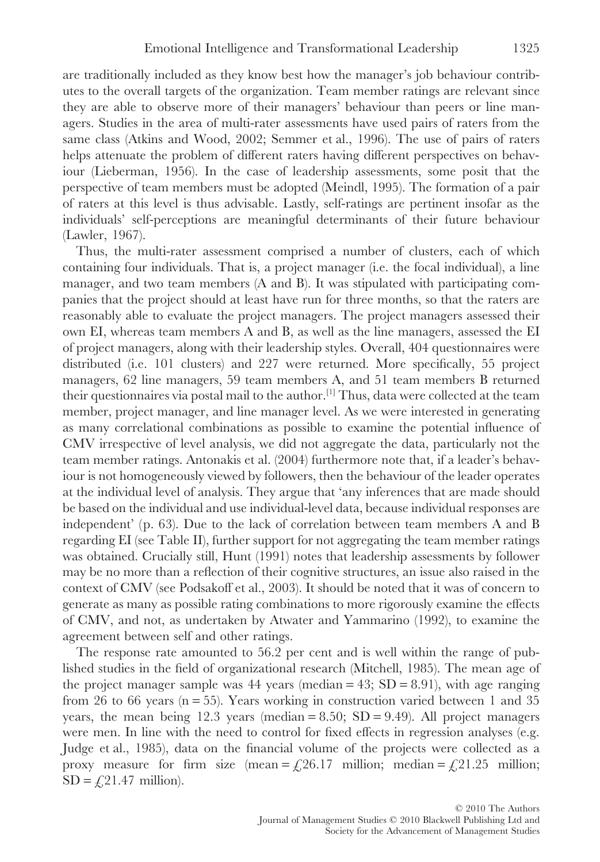are traditionally included as they know best how the manager's job behaviour contributes to the overall targets of the organization. Team member ratings are relevant since they are able to observe more of their managers' behaviour than peers or line managers. Studies in the area of multi-rater assessments have used pairs of raters from the same class (Atkins and Wood, 2002; Semmer et al., 1996). The use of pairs of raters helps attenuate the problem of different raters having different perspectives on behaviour (Lieberman, 1956). In the case of leadership assessments, some posit that the perspective of team members must be adopted (Meindl, 1995). The formation of a pair of raters at this level is thus advisable. Lastly, self-ratings are pertinent insofar as the individuals' self-perceptions are meaningful determinants of their future behaviour (Lawler, 1967).

Thus, the multi-rater assessment comprised a number of clusters, each of which containing four individuals. That is, a project manager (i.e. the focal individual), a line manager, and two team members (A and B). It was stipulated with participating companies that the project should at least have run for three months, so that the raters are reasonably able to evaluate the project managers. The project managers assessed their own EI, whereas team members A and B, as well as the line managers, assessed the EI of project managers, along with their leadership styles. Overall, 404 questionnaires were distributed (i.e. 101 clusters) and 227 were returned. More specifically, 55 project managers, 62 line managers, 59 team members A, and 51 team members B returned their questionnaires via postal mail to the author.[1] Thus, data were collected at the team member, project manager, and line manager level. As we were interested in generating as many correlational combinations as possible to examine the potential influence of CMV irrespective of level analysis, we did not aggregate the data, particularly not the team member ratings. Antonakis et al. (2004) furthermore note that, if a leader's behaviour is not homogeneously viewed by followers, then the behaviour of the leader operates at the individual level of analysis. They argue that 'any inferences that are made should be based on the individual and use individual-level data, because individual responses are independent' (p. 63). Due to the lack of correlation between team members A and B regarding EI (see Table II), further support for not aggregating the team member ratings was obtained. Crucially still, Hunt (1991) notes that leadership assessments by follower may be no more than a reflection of their cognitive structures, an issue also raised in the context of CMV (see Podsakoff et al., 2003). It should be noted that it was of concern to generate as many as possible rating combinations to more rigorously examine the effects of CMV, and not, as undertaken by Atwater and Yammarino (1992), to examine the agreement between self and other ratings.

The response rate amounted to 56.2 per cent and is well within the range of published studies in the field of organizational research (Mitchell, 1985). The mean age of the project manager sample was 44 years (median  $=$  43; SD  $=$  8.91), with age ranging from 26 to 66 years ( $n = 55$ ). Years working in construction varied between 1 and 35 years, the mean being 12.3 years (median  $= 8.50$ ; SD  $= 9.49$ ). All project managers were men. In line with the need to control for fixed effects in regression analyses (e.g. Judge et al., 1985), data on the financial volume of the projects were collected as a proxy measure for firm size (mean =  $\text{\textsterling}26.17$  million; median =  $\text{\textsterling}21.25$  million;  $SD = \text{\textsterling}21.47$  million).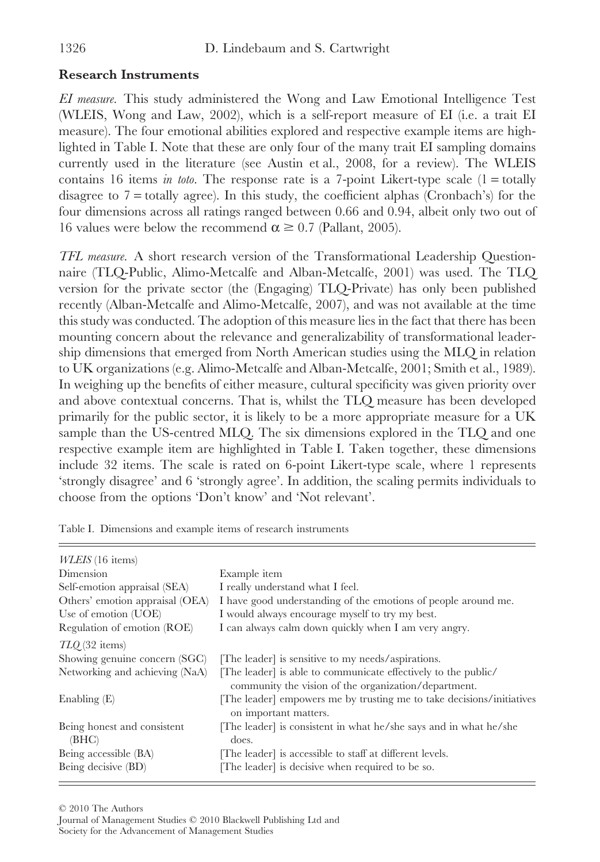# **Research Instruments**

*EI measure.* This study administered the Wong and Law Emotional Intelligence Test (WLEIS, Wong and Law, 2002), which is a self-report measure of EI (i.e. a trait EI measure). The four emotional abilities explored and respective example items are highlighted in Table I. Note that these are only four of the many trait EI sampling domains currently used in the literature (see Austin et al., 2008, for a review). The WLEIS contains 16 items *in toto*. The response rate is a 7-point Likert-type scale  $(1 = \text{totally})$ disagree to 7 = totally agree). In this study, the coefficient alphas (Cronbach's) for the four dimensions across all ratings ranged between 0.66 and 0.94, albeit only two out of 16 values were below the recommend  $\alpha \geq 0.7$  (Pallant, 2005).

*TFL measure.* A short research version of the Transformational Leadership Questionnaire (TLQ-Public, Alimo-Metcalfe and Alban-Metcalfe, 2001) was used. The TLQ version for the private sector (the (Engaging) TLQ-Private) has only been published recently (Alban-Metcalfe and Alimo-Metcalfe, 2007), and was not available at the time this study was conducted. The adoption of this measure lies in the fact that there has been mounting concern about the relevance and generalizability of transformational leadership dimensions that emerged from North American studies using the MLQ in relation to UK organizations (e.g. Alimo-Metcalfe and Alban-Metcalfe, 2001; Smith et al., 1989). In weighing up the benefits of either measure, cultural specificity was given priority over and above contextual concerns. That is, whilst the TLQ measure has been developed primarily for the public sector, it is likely to be a more appropriate measure for a UK sample than the US-centred MLQ. The six dimensions explored in the TLQ and one respective example item are highlighted in Table I. Taken together, these dimensions include 32 items. The scale is rated on 6-point Likert-type scale, where 1 represents 'strongly disagree' and 6 'strongly agree'. In addition, the scaling permits individuals to choose from the options 'Don't know' and 'Not relevant'.

| <i>WLEIS</i> (16 items)              |                                                                                                                        |
|--------------------------------------|------------------------------------------------------------------------------------------------------------------------|
| Dimension                            | Example item                                                                                                           |
| Self-emotion appraisal (SEA)         | I really understand what I feel.                                                                                       |
| Others' emotion appraisal (OEA)      | I have good understanding of the emotions of people around me.                                                         |
| Use of emotion (UOE)                 | I would always encourage myself to try my best.                                                                        |
| Regulation of emotion (ROE)          | I can always calm down quickly when I am very angry.                                                                   |
| $TLQ(32 \text{ items})$              |                                                                                                                        |
| Showing genuine concern (SGC)        | The leader is sensitive to my needs/aspirations.                                                                       |
| Networking and achieving (NaA)       | [The leader] is able to communicate effectively to the public/<br>community the vision of the organization/department. |
| Enabling $(E)$                       | [The leader] empowers me by trusting me to take decisions/initiatives<br>on important matters.                         |
| Being honest and consistent<br>(BHC) | The leader is consistent in what he/she says and in what he/she<br>does.                                               |
| Being accessible (BA)                | [The leader] is accessible to staff at different levels.                                                               |
| Being decisive (BD)                  | [The leader] is decisive when required to be so.                                                                       |

Table I. Dimensions and example items of research instruments

© 2010 The Authors

Journal of Management Studies © 2010 Blackwell Publishing Ltd and Society for the Advancement of Management Studies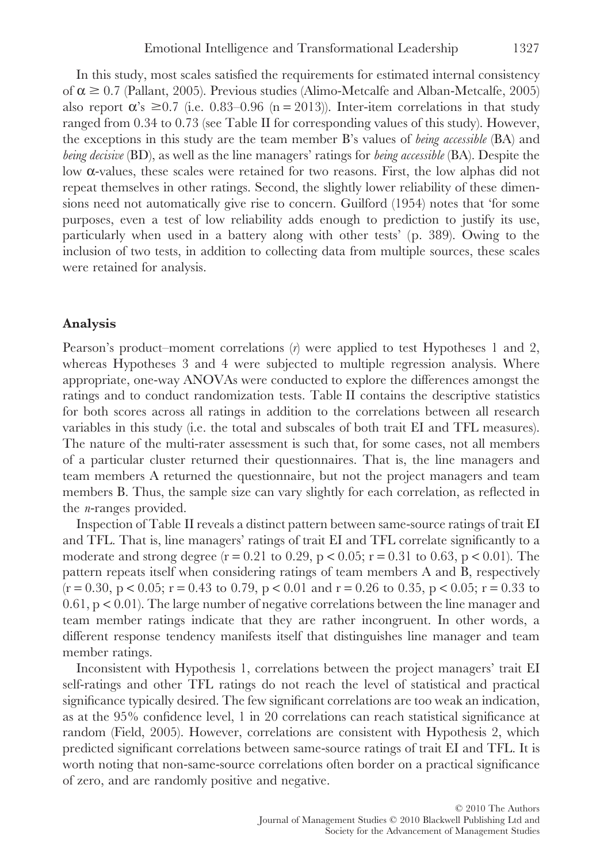In this study, most scales satisfied the requirements for estimated internal consistency of  $\alpha \geq 0.7$  (Pallant, 2005). Previous studies (Alimo-Metcalfe and Alban-Metcalfe, 2005) also report  $\alpha$ 's  $\geq 0.7$  (i.e. 0.83–0.96 (n = 2013)). Inter-item correlations in that study ranged from 0.34 to 0.73 (see Table II for corresponding values of this study). However, the exceptions in this study are the team member B's values of *being accessible* (BA) and *being decisive* (BD), as well as the line managers' ratings for *being accessible* (BA). Despite the low  $\alpha$ -values, these scales were retained for two reasons. First, the low alphas did not repeat themselves in other ratings. Second, the slightly lower reliability of these dimensions need not automatically give rise to concern. Guilford (1954) notes that 'for some purposes, even a test of low reliability adds enough to prediction to justify its use, particularly when used in a battery along with other tests' (p. 389). Owing to the inclusion of two tests, in addition to collecting data from multiple sources, these scales were retained for analysis.

#### **Analysis**

Pearson's product–moment correlations (*r*) were applied to test Hypotheses 1 and 2, whereas Hypotheses 3 and 4 were subjected to multiple regression analysis. Where appropriate, one-way ANOVAs were conducted to explore the differences amongst the ratings and to conduct randomization tests. Table II contains the descriptive statistics for both scores across all ratings in addition to the correlations between all research variables in this study (i.e. the total and subscales of both trait EI and TFL measures). The nature of the multi-rater assessment is such that, for some cases, not all members of a particular cluster returned their questionnaires. That is, the line managers and team members A returned the questionnaire, but not the project managers and team members B. Thus, the sample size can vary slightly for each correlation, as reflected in the *n*-ranges provided.

Inspection of Table II reveals a distinct pattern between same-source ratings of trait EI and TFL. That is, line managers' ratings of trait EI and TFL correlate significantly to a moderate and strong degree  $(r = 0.21 \text{ to } 0.29, p < 0.05; r = 0.31 \text{ to } 0.63, p < 0.01)$ . The pattern repeats itself when considering ratings of team members A and B, respectively  $(r = 0.30, p < 0.05; r = 0.43$  to 0.79,  $p < 0.01$  and  $r = 0.26$  to 0.35,  $p < 0.05; r = 0.33$  to  $(0.61, p < 0.01)$ . The large number of negative correlations between the line manager and team member ratings indicate that they are rather incongruent. In other words, a different response tendency manifests itself that distinguishes line manager and team member ratings.

Inconsistent with Hypothesis 1, correlations between the project managers' trait EI self-ratings and other TFL ratings do not reach the level of statistical and practical significance typically desired. The few significant correlations are too weak an indication, as at the 95% confidence level, 1 in 20 correlations can reach statistical significance at random (Field, 2005). However, correlations are consistent with Hypothesis 2, which predicted significant correlations between same-source ratings of trait EI and TFL. It is worth noting that non-same-source correlations often border on a practical significance of zero, and are randomly positive and negative.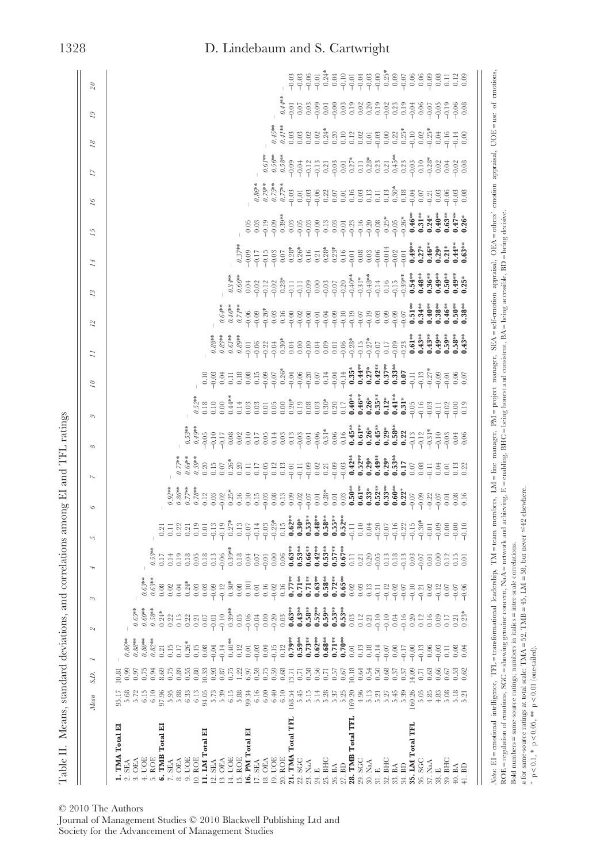| 8.69<br>0.59<br>0.75<br>0.94<br>0.75<br>0.33<br>0.93<br>0.75<br>$1.22$<br>6.97<br>0.97<br>0.55<br>0.80<br>0.87<br>0.99<br>$\begin{array}{l} \n\Box \quad \text{CG} \quad \text{CG} \quad \text{CG} \quad \text{CG} \quad \text{CG} \quad \text{CG} \quad \text{CG} \quad \text{CG} \quad \text{CG} \quad \text{CG} \quad \text{CG} \quad \text{CG} \quad \text{CG} \quad \text{CG} \quad \text{CG} \quad \text{CG} \quad \text{CG} \quad \text{CG} \quad \text{CG} \quad \text{CG} \quad \text{CG} \quad \text{CG} \quad \text{CG} \quad \text{CG} \quad \text{CG} \quad \text{CG} \quad \text{CG} \quad \text{CG} \quad \text{CG} \quad \text{CG$<br>6. TMB Total El<br>1. TMA Total El<br>11. LM Total E<br>$14.\mathrm{UOE} \newline 15.\,\mathrm{ROE} \newline 16.\,\mathrm{PM\,Total\, EI}$<br>9. UOE<br>10. ROE<br>12. SEA 13. OEA<br>4. UOE<br>8. OEA<br>3. OEA<br>5. ROI<br>7. SEA<br>2. SEA | s a grand conservation of the second conservation of the second conservation of the second conservation of the<br>A grand conservation of the second conservation of the second conservation of the second conservation of the s<br><br>$0.88*$<br>$0.80*$<br>$0.17$<br>$0.26*$<br>$0.40*$<br>$0.82$ <sup>3</sup><br>$\begin{array}{c} 0.15 \\ 0.08 \end{array}$<br>0.15<br>$-0.14$<br>0.21 |          |                                                                                                                                                                                                                                |                                                                                                                                                                                                                                   |  |  |                                                                      |                                                                                                                                                                                                                                                                                                                                                                                                              |  |  |                                                                                                                                                                                                                                                                                                                                                                                                                       |  |
|------------------------------------------------------------------------------------------------------------------------------------------------------------------------------------------------------------------------------------------------------------------------------------------------------------------------------------------------------------------------------------------------------------------------------------------------------------------------------------------------------------------------------------------------------------------------------------------------------------------------------------------------------------------------------------------------------------------------------------------------------------------------------------------------------------------------------------------------------------------------------------------------------|---------------------------------------------------------------------------------------------------------------------------------------------------------------------------------------------------------------------------------------------------------------------------------------------------------------------------------------------------------------------------------------------|----------|--------------------------------------------------------------------------------------------------------------------------------------------------------------------------------------------------------------------------------|-----------------------------------------------------------------------------------------------------------------------------------------------------------------------------------------------------------------------------------|--|--|----------------------------------------------------------------------|--------------------------------------------------------------------------------------------------------------------------------------------------------------------------------------------------------------------------------------------------------------------------------------------------------------------------------------------------------------------------------------------------------------|--|--|-----------------------------------------------------------------------------------------------------------------------------------------------------------------------------------------------------------------------------------------------------------------------------------------------------------------------------------------------------------------------------------------------------------------------|--|
|                                                                                                                                                                                                                                                                                                                                                                                                                                                                                                                                                                                                                                                                                                                                                                                                                                                                                                      |                                                                                                                                                                                                                                                                                                                                                                                             |          |                                                                                                                                                                                                                                |                                                                                                                                                                                                                                   |  |  |                                                                      |                                                                                                                                                                                                                                                                                                                                                                                                              |  |  |                                                                                                                                                                                                                                                                                                                                                                                                                       |  |
|                                                                                                                                                                                                                                                                                                                                                                                                                                                                                                                                                                                                                                                                                                                                                                                                                                                                                                      |                                                                                                                                                                                                                                                                                                                                                                                             |          |                                                                                                                                                                                                                                |                                                                                                                                                                                                                                   |  |  |                                                                      |                                                                                                                                                                                                                                                                                                                                                                                                              |  |  |                                                                                                                                                                                                                                                                                                                                                                                                                       |  |
|                                                                                                                                                                                                                                                                                                                                                                                                                                                                                                                                                                                                                                                                                                                                                                                                                                                                                                      |                                                                                                                                                                                                                                                                                                                                                                                             |          |                                                                                                                                                                                                                                |                                                                                                                                                                                                                                   |  |  |                                                                      |                                                                                                                                                                                                                                                                                                                                                                                                              |  |  |                                                                                                                                                                                                                                                                                                                                                                                                                       |  |
|                                                                                                                                                                                                                                                                                                                                                                                                                                                                                                                                                                                                                                                                                                                                                                                                                                                                                                      |                                                                                                                                                                                                                                                                                                                                                                                             |          |                                                                                                                                                                                                                                |                                                                                                                                                                                                                                   |  |  |                                                                      |                                                                                                                                                                                                                                                                                                                                                                                                              |  |  |                                                                                                                                                                                                                                                                                                                                                                                                                       |  |
|                                                                                                                                                                                                                                                                                                                                                                                                                                                                                                                                                                                                                                                                                                                                                                                                                                                                                                      |                                                                                                                                                                                                                                                                                                                                                                                             |          |                                                                                                                                                                                                                                |                                                                                                                                                                                                                                   |  |  |                                                                      |                                                                                                                                                                                                                                                                                                                                                                                                              |  |  |                                                                                                                                                                                                                                                                                                                                                                                                                       |  |
|                                                                                                                                                                                                                                                                                                                                                                                                                                                                                                                                                                                                                                                                                                                                                                                                                                                                                                      |                                                                                                                                                                                                                                                                                                                                                                                             |          |                                                                                                                                                                                                                                |                                                                                                                                                                                                                                   |  |  |                                                                      |                                                                                                                                                                                                                                                                                                                                                                                                              |  |  |                                                                                                                                                                                                                                                                                                                                                                                                                       |  |
|                                                                                                                                                                                                                                                                                                                                                                                                                                                                                                                                                                                                                                                                                                                                                                                                                                                                                                      |                                                                                                                                                                                                                                                                                                                                                                                             |          |                                                                                                                                                                                                                                |                                                                                                                                                                                                                                   |  |  |                                                                      |                                                                                                                                                                                                                                                                                                                                                                                                              |  |  |                                                                                                                                                                                                                                                                                                                                                                                                                       |  |
|                                                                                                                                                                                                                                                                                                                                                                                                                                                                                                                                                                                                                                                                                                                                                                                                                                                                                                      |                                                                                                                                                                                                                                                                                                                                                                                             |          |                                                                                                                                                                                                                                |                                                                                                                                                                                                                                   |  |  |                                                                      |                                                                                                                                                                                                                                                                                                                                                                                                              |  |  |                                                                                                                                                                                                                                                                                                                                                                                                                       |  |
|                                                                                                                                                                                                                                                                                                                                                                                                                                                                                                                                                                                                                                                                                                                                                                                                                                                                                                      |                                                                                                                                                                                                                                                                                                                                                                                             |          |                                                                                                                                                                                                                                |                                                                                                                                                                                                                                   |  |  |                                                                      |                                                                                                                                                                                                                                                                                                                                                                                                              |  |  |                                                                                                                                                                                                                                                                                                                                                                                                                       |  |
|                                                                                                                                                                                                                                                                                                                                                                                                                                                                                                                                                                                                                                                                                                                                                                                                                                                                                                      |                                                                                                                                                                                                                                                                                                                                                                                             |          |                                                                                                                                                                                                                                |                                                                                                                                                                                                                                   |  |  |                                                                      |                                                                                                                                                                                                                                                                                                                                                                                                              |  |  |                                                                                                                                                                                                                                                                                                                                                                                                                       |  |
|                                                                                                                                                                                                                                                                                                                                                                                                                                                                                                                                                                                                                                                                                                                                                                                                                                                                                                      |                                                                                                                                                                                                                                                                                                                                                                                             |          |                                                                                                                                                                                                                                |                                                                                                                                                                                                                                   |  |  |                                                                      |                                                                                                                                                                                                                                                                                                                                                                                                              |  |  |                                                                                                                                                                                                                                                                                                                                                                                                                       |  |
|                                                                                                                                                                                                                                                                                                                                                                                                                                                                                                                                                                                                                                                                                                                                                                                                                                                                                                      |                                                                                                                                                                                                                                                                                                                                                                                             |          |                                                                                                                                                                                                                                |                                                                                                                                                                                                                                   |  |  |                                                                      |                                                                                                                                                                                                                                                                                                                                                                                                              |  |  |                                                                                                                                                                                                                                                                                                                                                                                                                       |  |
|                                                                                                                                                                                                                                                                                                                                                                                                                                                                                                                                                                                                                                                                                                                                                                                                                                                                                                      |                                                                                                                                                                                                                                                                                                                                                                                             |          |                                                                                                                                                                                                                                |                                                                                                                                                                                                                                   |  |  |                                                                      |                                                                                                                                                                                                                                                                                                                                                                                                              |  |  |                                                                                                                                                                                                                                                                                                                                                                                                                       |  |
|                                                                                                                                                                                                                                                                                                                                                                                                                                                                                                                                                                                                                                                                                                                                                                                                                                                                                                      |                                                                                                                                                                                                                                                                                                                                                                                             |          |                                                                                                                                                                                                                                |                                                                                                                                                                                                                                   |  |  |                                                                      |                                                                                                                                                                                                                                                                                                                                                                                                              |  |  |                                                                                                                                                                                                                                                                                                                                                                                                                       |  |
|                                                                                                                                                                                                                                                                                                                                                                                                                                                                                                                                                                                                                                                                                                                                                                                                                                                                                                      |                                                                                                                                                                                                                                                                                                                                                                                             |          |                                                                                                                                                                                                                                |                                                                                                                                                                                                                                   |  |  |                                                                      |                                                                                                                                                                                                                                                                                                                                                                                                              |  |  |                                                                                                                                                                                                                                                                                                                                                                                                                       |  |
|                                                                                                                                                                                                                                                                                                                                                                                                                                                                                                                                                                                                                                                                                                                                                                                                                                                                                                      | $\begin{array}{c} 0.12 \\ 0.01 \end{array}$                                                                                                                                                                                                                                                                                                                                                 |          |                                                                                                                                                                                                                                |                                                                                                                                                                                                                                   |  |  |                                                                      |                                                                                                                                                                                                                                                                                                                                                                                                              |  |  |                                                                                                                                                                                                                                                                                                                                                                                                                       |  |
|                                                                                                                                                                                                                                                                                                                                                                                                                                                                                                                                                                                                                                                                                                                                                                                                                                                                                                      | $-0.03$                                                                                                                                                                                                                                                                                                                                                                                     |          |                                                                                                                                                                                                                                |                                                                                                                                                                                                                                   |  |  |                                                                      |                                                                                                                                                                                                                                                                                                                                                                                                              |  |  |                                                                                                                                                                                                                                                                                                                                                                                                                       |  |
| 0.75<br>$6.16$<br>$6.00$                                                                                                                                                                                                                                                                                                                                                                                                                                                                                                                                                                                                                                                                                                                                                                                                                                                                             | $0.04\,$                                                                                                                                                                                                                                                                                                                                                                                    |          |                                                                                                                                                                                                                                |                                                                                                                                                                                                                                   |  |  |                                                                      |                                                                                                                                                                                                                                                                                                                                                                                                              |  |  |                                                                                                                                                                                                                                                                                                                                                                                                                       |  |
| 0.59<br>$\begin{array}{c} \text{17. SEA} \\ \text{18. OEA} \\ \text{19. UOE} \\ \text{20. ROE} \end{array}$                                                                                                                                                                                                                                                                                                                                                                                                                                                                                                                                                                                                                                                                                                                                                                                          | $-0.15$                                                                                                                                                                                                                                                                                                                                                                                     |          |                                                                                                                                                                                                                                |                                                                                                                                                                                                                                   |  |  |                                                                      |                                                                                                                                                                                                                                                                                                                                                                                                              |  |  |                                                                                                                                                                                                                                                                                                                                                                                                                       |  |
| 0.68<br>$6.40$<br>$6.10$                                                                                                                                                                                                                                                                                                                                                                                                                                                                                                                                                                                                                                                                                                                                                                                                                                                                             | 0.12                                                                                                                                                                                                                                                                                                                                                                                        |          |                                                                                                                                                                                                                                |                                                                                                                                                                                                                                   |  |  |                                                                      |                                                                                                                                                                                                                                                                                                                                                                                                              |  |  |                                                                                                                                                                                                                                                                                                                                                                                                                       |  |
| 13.71<br>68.54<br>21. TMA Total TFI                                                                                                                                                                                                                                                                                                                                                                                                                                                                                                                                                                                                                                                                                                                                                                                                                                                                  | 0.79                                                                                                                                                                                                                                                                                                                                                                                        |          |                                                                                                                                                                                                                                |                                                                                                                                                                                                                                   |  |  |                                                                      |                                                                                                                                                                                                                                                                                                                                                                                                              |  |  |                                                                                                                                                                                                                                                                                                                                                                                                                       |  |
| 0.71<br>$5.45$<br>$5.14$<br>$5.14$<br>22. SGC                                                                                                                                                                                                                                                                                                                                                                                                                                                                                                                                                                                                                                                                                                                                                                                                                                                        | 552<br>55335-0<br>55565                                                                                                                                                                                                                                                                                                                                                                     |          |                                                                                                                                                                                                                                |                                                                                                                                                                                                                                   |  |  |                                                                      |                                                                                                                                                                                                                                                                                                                                                                                                              |  |  |                                                                                                                                                                                                                                                                                                                                                                                                                       |  |
| 0.58<br>23. NaA                                                                                                                                                                                                                                                                                                                                                                                                                                                                                                                                                                                                                                                                                                                                                                                                                                                                                      |                                                                                                                                                                                                                                                                                                                                                                                             |          |                                                                                                                                                                                                                                |                                                                                                                                                                                                                                   |  |  |                                                                      |                                                                                                                                                                                                                                                                                                                                                                                                              |  |  |                                                                                                                                                                                                                                                                                                                                                                                                                       |  |
| 0.56<br>24. E                                                                                                                                                                                                                                                                                                                                                                                                                                                                                                                                                                                                                                                                                                                                                                                                                                                                                        |                                                                                                                                                                                                                                                                                                                                                                                             |          |                                                                                                                                                                                                                                |                                                                                                                                                                                                                                   |  |  |                                                                      |                                                                                                                                                                                                                                                                                                                                                                                                              |  |  |                                                                                                                                                                                                                                                                                                                                                                                                                       |  |
| 0.71<br>5.28                                                                                                                                                                                                                                                                                                                                                                                                                                                                                                                                                                                                                                                                                                                                                                                                                                                                                         |                                                                                                                                                                                                                                                                                                                                                                                             |          |                                                                                                                                                                                                                                |                                                                                                                                                                                                                                   |  |  |                                                                      |                                                                                                                                                                                                                                                                                                                                                                                                              |  |  |                                                                                                                                                                                                                                                                                                                                                                                                                       |  |
| 0.57<br>$5.37$<br>$5.25$                                                                                                                                                                                                                                                                                                                                                                                                                                                                                                                                                                                                                                                                                                                                                                                                                                                                             |                                                                                                                                                                                                                                                                                                                                                                                             |          |                                                                                                                                                                                                                                |                                                                                                                                                                                                                                   |  |  |                                                                      |                                                                                                                                                                                                                                                                                                                                                                                                              |  |  |                                                                                                                                                                                                                                                                                                                                                                                                                       |  |
| 0.67                                                                                                                                                                                                                                                                                                                                                                                                                                                                                                                                                                                                                                                                                                                                                                                                                                                                                                 | 0.70                                                                                                                                                                                                                                                                                                                                                                                        |          |                                                                                                                                                                                                                                |                                                                                                                                                                                                                                   |  |  |                                                                      |                                                                                                                                                                                                                                                                                                                                                                                                              |  |  |                                                                                                                                                                                                                                                                                                                                                                                                                       |  |
| 10.18<br>69.20<br>$\begin{array}{l} 25. \text{BHC} \\ 26. \text{BA} \\ 27. \text{BD} \\ 23. \text{TDB Total TFL} \\ 28. \text{TCO} \\ 30. \text{NaA} \\ 31. \text{E} \\ 31. \text{E} \end{array}$                                                                                                                                                                                                                                                                                                                                                                                                                                                                                                                                                                                                                                                                                                    | $0.01$                                                                                                                                                                                                                                                                                                                                                                                      |          | the contraction of the contract of the contract of the contract of the contract of the contract of the contract of the contract of the contract of the contract of the contract of the contract of the contract of the contrac | । ।<br>। अप देख से साथ छ है । अपने साथ से साथ से साथ में पहुंच है । अपने साथ से साथ से साथ से साथ से साथ से साथ स<br>। अपने साथ से साथ से साथ से साथ से साथ से साथ से साथ से साथ से साथ से साथ से साथ से साथ से साथ से साथ से साथ |  |  | ڽٞ<br>؆؋؉ڋ؋؆؋؆ۼ؏؋؏ۊ؏؋؏ٵ۩؋۩ٷ؏ۄ <mark>ٷۺٙۧ۩ٷۿۄڣۄ۠ۮ</mark><br>ٛڋۄڋڋۄۄٷۄ | $\begin{array}{l} \frac{4}{\sqrt{3}}\,\, \frac{1}{\sqrt{6}}\,\, \frac{1}{\sqrt{2}}\,\, \frac{1}{\sqrt{2}}\,\, \frac{1}{\sqrt{2}}\,\, \frac{1}{\sqrt{2}}\,\, \frac{1}{\sqrt{2}}\,\, \frac{1}{\sqrt{2}}\,\, \frac{1}{\sqrt{2}}\,\, \frac{1}{\sqrt{2}}\,\, \frac{1}{\sqrt{2}}\,\, \frac{1}{\sqrt{2}}\,\, \frac{1}{\sqrt{2}}\,\, \frac{1}{\sqrt{2}}\,\, \frac{1}{\sqrt{2}}\,\, \frac{1}{\sqrt{2}}\,\, \frac{1}{$ |  |  | $\ddot{x} = \ddot{x} + \ddot{x} + \ddot{x} + \ddot{x} + \ddot{x} + \ddot{x} + \ddot{x} + \ddot{x} + \ddot{x} + \ddot{x} + \ddot{x} + \ddot{x} + \ddot{x} + \ddot{x} + \ddot{x} + \ddot{x} + \ddot{x} + \ddot{x} + \ddot{x} + \ddot{x} + \ddot{x} + \ddot{x} + \ddot{x} + \ddot{x} + \ddot{x} + \ddot{x} + \ddot{x} + \ddot{x} + \ddot{x} + \ddot{x} + \ddot{x} + \ddot{x} + \ddot{x} + \ddot{x} + \ddot{x} + \ddot{x$ |  |
| 0.64<br>4.96                                                                                                                                                                                                                                                                                                                                                                                                                                                                                                                                                                                                                                                                                                                                                                                                                                                                                         | $\begin{array}{c} 0.13 \\ 0.18 \end{array}$                                                                                                                                                                                                                                                                                                                                                 |          |                                                                                                                                                                                                                                |                                                                                                                                                                                                                                   |  |  |                                                                      |                                                                                                                                                                                                                                                                                                                                                                                                              |  |  |                                                                                                                                                                                                                                                                                                                                                                                                                       |  |
| 0.54<br>5.13                                                                                                                                                                                                                                                                                                                                                                                                                                                                                                                                                                                                                                                                                                                                                                                                                                                                                         |                                                                                                                                                                                                                                                                                                                                                                                             |          |                                                                                                                                                                                                                                |                                                                                                                                                                                                                                   |  |  |                                                                      |                                                                                                                                                                                                                                                                                                                                                                                                              |  |  |                                                                                                                                                                                                                                                                                                                                                                                                                       |  |
| 0.50<br>5.21                                                                                                                                                                                                                                                                                                                                                                                                                                                                                                                                                                                                                                                                                                                                                                                                                                                                                         | $-0.14$                                                                                                                                                                                                                                                                                                                                                                                     |          |                                                                                                                                                                                                                                |                                                                                                                                                                                                                                   |  |  |                                                                      |                                                                                                                                                                                                                                                                                                                                                                                                              |  |  |                                                                                                                                                                                                                                                                                                                                                                                                                       |  |
| 0.68<br>5.27<br>32. BHC                                                                                                                                                                                                                                                                                                                                                                                                                                                                                                                                                                                                                                                                                                                                                                                                                                                                              | $-0.07$                                                                                                                                                                                                                                                                                                                                                                                     |          |                                                                                                                                                                                                                                |                                                                                                                                                                                                                                   |  |  |                                                                      |                                                                                                                                                                                                                                                                                                                                                                                                              |  |  |                                                                                                                                                                                                                                                                                                                                                                                                                       |  |
| 0.37<br>5.45<br>33. BA                                                                                                                                                                                                                                                                                                                                                                                                                                                                                                                                                                                                                                                                                                                                                                                                                                                                               | 0.00                                                                                                                                                                                                                                                                                                                                                                                        |          |                                                                                                                                                                                                                                |                                                                                                                                                                                                                                   |  |  |                                                                      |                                                                                                                                                                                                                                                                                                                                                                                                              |  |  |                                                                                                                                                                                                                                                                                                                                                                                                                       |  |
| 0.37<br>5.39<br>34. BD                                                                                                                                                                                                                                                                                                                                                                                                                                                                                                                                                                                                                                                                                                                                                                                                                                                                               | $-0.17$                                                                                                                                                                                                                                                                                                                                                                                     |          |                                                                                                                                                                                                                                |                                                                                                                                                                                                                                   |  |  |                                                                      |                                                                                                                                                                                                                                                                                                                                                                                                              |  |  |                                                                                                                                                                                                                                                                                                                                                                                                                       |  |
| 4.09<br>60.26<br>35. LM Total TFI                                                                                                                                                                                                                                                                                                                                                                                                                                                                                                                                                                                                                                                                                                                                                                                                                                                                    | $-0.00$                                                                                                                                                                                                                                                                                                                                                                                     |          |                                                                                                                                                                                                                                |                                                                                                                                                                                                                                   |  |  |                                                                      |                                                                                                                                                                                                                                                                                                                                                                                                              |  |  |                                                                                                                                                                                                                                                                                                                                                                                                                       |  |
| 0.71<br>5.05<br>36. SGC<br>37. NaA                                                                                                                                                                                                                                                                                                                                                                                                                                                                                                                                                                                                                                                                                                                                                                                                                                                                   | $-0.13$                                                                                                                                                                                                                                                                                                                                                                                     |          |                                                                                                                                                                                                                                |                                                                                                                                                                                                                                   |  |  |                                                                      |                                                                                                                                                                                                                                                                                                                                                                                                              |  |  |                                                                                                                                                                                                                                                                                                                                                                                                                       |  |
| 0.63<br>4.85                                                                                                                                                                                                                                                                                                                                                                                                                                                                                                                                                                                                                                                                                                                                                                                                                                                                                         | 0.06                                                                                                                                                                                                                                                                                                                                                                                        |          |                                                                                                                                                                                                                                |                                                                                                                                                                                                                                   |  |  |                                                                      |                                                                                                                                                                                                                                                                                                                                                                                                              |  |  |                                                                                                                                                                                                                                                                                                                                                                                                                       |  |
| 0.66<br>4.83<br>38. E                                                                                                                                                                                                                                                                                                                                                                                                                                                                                                                                                                                                                                                                                                                                                                                                                                                                                | $-0.03$                                                                                                                                                                                                                                                                                                                                                                                     | $0.09\,$ |                                                                                                                                                                                                                                |                                                                                                                                                                                                                                   |  |  |                                                                      |                                                                                                                                                                                                                                                                                                                                                                                                              |  |  |                                                                                                                                                                                                                                                                                                                                                                                                                       |  |
| 0.67<br>5.08<br>39. BHC                                                                                                                                                                                                                                                                                                                                                                                                                                                                                                                                                                                                                                                                                                                                                                                                                                                                              | $7.88$<br>$0.88$                                                                                                                                                                                                                                                                                                                                                                            | $0.17$   |                                                                                                                                                                                                                                |                                                                                                                                                                                                                                   |  |  |                                                                      |                                                                                                                                                                                                                                                                                                                                                                                                              |  |  |                                                                                                                                                                                                                                                                                                                                                                                                                       |  |
| 0.53<br>5.18                                                                                                                                                                                                                                                                                                                                                                                                                                                                                                                                                                                                                                                                                                                                                                                                                                                                                         |                                                                                                                                                                                                                                                                                                                                                                                             |          |                                                                                                                                                                                                                                |                                                                                                                                                                                                                                   |  |  |                                                                      |                                                                                                                                                                                                                                                                                                                                                                                                              |  |  |                                                                                                                                                                                                                                                                                                                                                                                                                       |  |
| 5.21                                                                                                                                                                                                                                                                                                                                                                                                                                                                                                                                                                                                                                                                                                                                                                                                                                                                                                 |                                                                                                                                                                                                                                                                                                                                                                                             |          |                                                                                                                                                                                                                                |                                                                                                                                                                                                                                   |  |  |                                                                      |                                                                                                                                                                                                                                                                                                                                                                                                              |  |  |                                                                                                                                                                                                                                                                                                                                                                                                                       |  |

Table II. Means, standard deviations, and correlations among EI and TFL ratings Table II. Means, standard deviations, and correlations among EI and TFL ratings

© 2010 The Authors

Journal of Management Studies © 2010 Blackwell Publishing Ltd and Society for the Advancement of Management Studies

# 1328 D. Lindebaum and S. Cartwright

Mex: El = emotional intelligence, TFL = transformational leadership, TM = team members, EM = line manager, Nd = project manager, SEA = self-emotion appraisal, OEA = others' emotion appraisal, UOE = use of emotions, SEA = e Notes: EI = emotional intelligence, TFL = transformational leadership, TM = team members, LM = line manager, PM = project manager, SEA = self-emotion appraisal, OEA = others' emotion appraisal, UOE = use of emotions, ROE = regulation of emotions, SGC = showing genuine concern, NaA = network and achieving, E = enabling, BHC = being honest and consistent, BA = being accessible, BD = being decisive. Bold numbers = same-source ratings; numbers in italics = inter-scale correlations.

*n*+*n* for same-source ratings at total scale: TMA = 52, TMB = 45, LM = 58, but never  $\leq 42$  elsewhere.

p < 0.1, \* p < 0.05, \*\* p < 0.01 (one-tailed).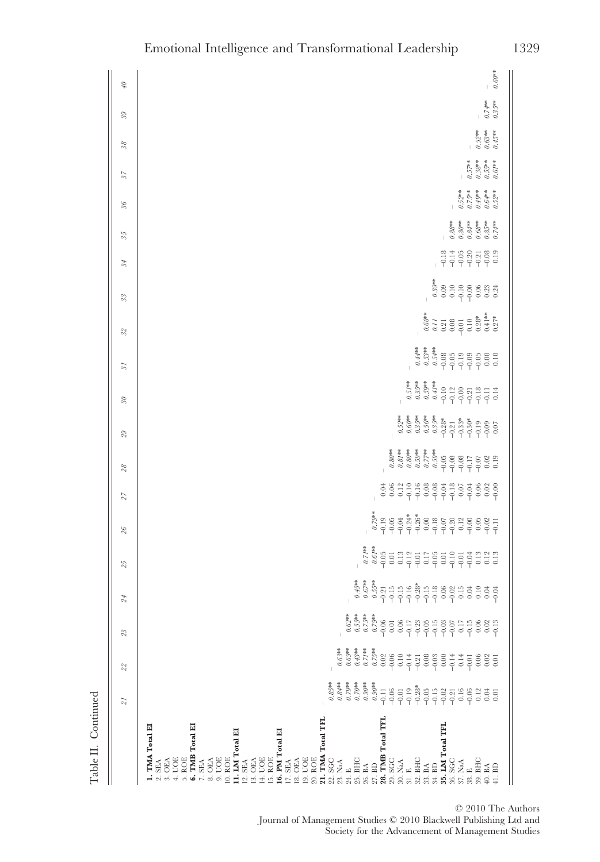| ī<br>$\ddot{\phantom{0}}$ |  |
|---------------------------|--|
| ÷                         |  |

|                                                                                                                                                                                                                                                            | 21 | 22 | 23                                                                                                                                                                                                                                                                                                                                                                                                                                                                | 24 | 25 | $26\,$ | 27 | 28 | 29                                                                                                                                                                                                                                                                                                                                                                                                             | $\sqrt{30}$                                                                                                                                                                                                                                                                                                                                                                                                    | $\sqrt{3}$                                                                                                                                                                                                                                                                                                                                                                                                                          | 32                                                                                                                                                                                                                                                                                                       | 33 | 34                                           | $35\,$                                           | 36                                   | 57                                                                        | 38                                                               | 39                 |  |
|------------------------------------------------------------------------------------------------------------------------------------------------------------------------------------------------------------------------------------------------------------|----|----|-------------------------------------------------------------------------------------------------------------------------------------------------------------------------------------------------------------------------------------------------------------------------------------------------------------------------------------------------------------------------------------------------------------------------------------------------------------------|----|----|--------|----|----|----------------------------------------------------------------------------------------------------------------------------------------------------------------------------------------------------------------------------------------------------------------------------------------------------------------------------------------------------------------------------------------------------------------|----------------------------------------------------------------------------------------------------------------------------------------------------------------------------------------------------------------------------------------------------------------------------------------------------------------------------------------------------------------------------------------------------------------|-------------------------------------------------------------------------------------------------------------------------------------------------------------------------------------------------------------------------------------------------------------------------------------------------------------------------------------------------------------------------------------------------------------------------------------|----------------------------------------------------------------------------------------------------------------------------------------------------------------------------------------------------------------------------------------------------------------------------------------------------------|----|----------------------------------------------|--------------------------------------------------|--------------------------------------|---------------------------------------------------------------------------|------------------------------------------------------------------|--------------------|--|
| 1. TMA Total El<br>4. UOE<br>5. ROE<br>$3.$ OEA<br>$2.$ SEA                                                                                                                                                                                                |    |    |                                                                                                                                                                                                                                                                                                                                                                                                                                                                   |    |    |        |    |    |                                                                                                                                                                                                                                                                                                                                                                                                                |                                                                                                                                                                                                                                                                                                                                                                                                                |                                                                                                                                                                                                                                                                                                                                                                                                                                     |                                                                                                                                                                                                                                                                                                          |    |                                              |                                                  |                                      |                                                                           |                                                                  |                    |  |
| 6. TMB Total El<br>9. UOE<br>8. OEA<br>$7.$ SEA                                                                                                                                                                                                            |    |    |                                                                                                                                                                                                                                                                                                                                                                                                                                                                   |    |    |        |    |    |                                                                                                                                                                                                                                                                                                                                                                                                                |                                                                                                                                                                                                                                                                                                                                                                                                                |                                                                                                                                                                                                                                                                                                                                                                                                                                     |                                                                                                                                                                                                                                                                                                          |    |                                              |                                                  |                                      |                                                                           |                                                                  |                    |  |
| 11. LM Total EI<br>$10.$ ROE<br>12. SEA                                                                                                                                                                                                                    |    |    |                                                                                                                                                                                                                                                                                                                                                                                                                                                                   |    |    |        |    |    |                                                                                                                                                                                                                                                                                                                                                                                                                |                                                                                                                                                                                                                                                                                                                                                                                                                |                                                                                                                                                                                                                                                                                                                                                                                                                                     |                                                                                                                                                                                                                                                                                                          |    |                                              |                                                  |                                      |                                                                           |                                                                  |                    |  |
| $\begin{array}{c} 13.\, \text{OEA} \\ 14.\, \text{UOE} \\ 15.\, \text{ROE} \end{array}$                                                                                                                                                                    |    |    |                                                                                                                                                                                                                                                                                                                                                                                                                                                                   |    |    |        |    |    |                                                                                                                                                                                                                                                                                                                                                                                                                |                                                                                                                                                                                                                                                                                                                                                                                                                |                                                                                                                                                                                                                                                                                                                                                                                                                                     |                                                                                                                                                                                                                                                                                                          |    |                                              |                                                  |                                      |                                                                           |                                                                  |                    |  |
|                                                                                                                                                                                                                                                            |    |    |                                                                                                                                                                                                                                                                                                                                                                                                                                                                   |    |    |        |    |    |                                                                                                                                                                                                                                                                                                                                                                                                                |                                                                                                                                                                                                                                                                                                                                                                                                                |                                                                                                                                                                                                                                                                                                                                                                                                                                     |                                                                                                                                                                                                                                                                                                          |    |                                              |                                                  |                                      |                                                                           |                                                                  |                    |  |
| $\begin{array}{l} \textbf{16. PM Tocal EI} \\ \textbf{17. SBA} \\ \textbf{18.00E} \\ \textbf{19.00E} \\ \textbf{20. ROE} \\ \textbf{21. TMA Tocal TFL} \\ \textbf{22.1. TMA Tocal TFL} \\ \textbf{23.00C} \\ \textbf{24. E} \\ \textbf{24. E} \end{array}$ |    |    |                                                                                                                                                                                                                                                                                                                                                                                                                                                                   |    |    |        |    |    |                                                                                                                                                                                                                                                                                                                                                                                                                |                                                                                                                                                                                                                                                                                                                                                                                                                |                                                                                                                                                                                                                                                                                                                                                                                                                                     |                                                                                                                                                                                                                                                                                                          |    |                                              |                                                  |                                      |                                                                           |                                                                  |                    |  |
|                                                                                                                                                                                                                                                            |    |    |                                                                                                                                                                                                                                                                                                                                                                                                                                                                   |    |    |        |    |    |                                                                                                                                                                                                                                                                                                                                                                                                                |                                                                                                                                                                                                                                                                                                                                                                                                                |                                                                                                                                                                                                                                                                                                                                                                                                                                     |                                                                                                                                                                                                                                                                                                          |    |                                              |                                                  |                                      |                                                                           |                                                                  |                    |  |
|                                                                                                                                                                                                                                                            |    |    |                                                                                                                                                                                                                                                                                                                                                                                                                                                                   |    |    |        |    |    |                                                                                                                                                                                                                                                                                                                                                                                                                |                                                                                                                                                                                                                                                                                                                                                                                                                |                                                                                                                                                                                                                                                                                                                                                                                                                                     |                                                                                                                                                                                                                                                                                                          |    |                                              |                                                  |                                      |                                                                           |                                                                  |                    |  |
|                                                                                                                                                                                                                                                            |    |    |                                                                                                                                                                                                                                                                                                                                                                                                                                                                   |    |    |        |    |    |                                                                                                                                                                                                                                                                                                                                                                                                                |                                                                                                                                                                                                                                                                                                                                                                                                                |                                                                                                                                                                                                                                                                                                                                                                                                                                     |                                                                                                                                                                                                                                                                                                          |    |                                              |                                                  |                                      |                                                                           |                                                                  |                    |  |
| 25. BHC                                                                                                                                                                                                                                                    |    |    |                                                                                                                                                                                                                                                                                                                                                                                                                                                                   |    |    |        |    |    |                                                                                                                                                                                                                                                                                                                                                                                                                |                                                                                                                                                                                                                                                                                                                                                                                                                |                                                                                                                                                                                                                                                                                                                                                                                                                                     |                                                                                                                                                                                                                                                                                                          |    |                                              |                                                  |                                      |                                                                           |                                                                  |                    |  |
| 26. BA<br>27. BD                                                                                                                                                                                                                                           |    |    | $\begin{array}{cccccccccc} \text{\#} & \text{\#} & \text{\#} & \text{\#} & \text{\#} & \text{\#} & \text{\#} & \text{\#} & \text{\#} & \text{\#} & \text{\#} & \text{\#} & \text{\#} & \text{\#} & \text{\#} & \text{\#} & \text{\#} & \text{\#} & \text{\#} & \text{\#} & \text{\#} & \text{\#} & \text{\#} & \text{\#} & \text{\#} & \text{\#} & \text{\#} & \text{\#} & \text{\#} & \text{\#} & \text{\#} & \text{\#} & \text{\#} & \text{\#} & \text{\#} & \$ |    |    |        |    |    |                                                                                                                                                                                                                                                                                                                                                                                                                |                                                                                                                                                                                                                                                                                                                                                                                                                |                                                                                                                                                                                                                                                                                                                                                                                                                                     |                                                                                                                                                                                                                                                                                                          |    |                                              |                                                  |                                      |                                                                           |                                                                  |                    |  |
|                                                                                                                                                                                                                                                            |    |    |                                                                                                                                                                                                                                                                                                                                                                                                                                                                   |    |    |        |    |    |                                                                                                                                                                                                                                                                                                                                                                                                                |                                                                                                                                                                                                                                                                                                                                                                                                                |                                                                                                                                                                                                                                                                                                                                                                                                                                     |                                                                                                                                                                                                                                                                                                          |    |                                              |                                                  |                                      |                                                                           |                                                                  |                    |  |
| <b>28. TMB Total TFL</b><br>29. SGC<br>30. NaA                                                                                                                                                                                                             |    |    |                                                                                                                                                                                                                                                                                                                                                                                                                                                                   |    |    |        |    |    |                                                                                                                                                                                                                                                                                                                                                                                                                |                                                                                                                                                                                                                                                                                                                                                                                                                |                                                                                                                                                                                                                                                                                                                                                                                                                                     |                                                                                                                                                                                                                                                                                                          |    |                                              |                                                  |                                      |                                                                           |                                                                  |                    |  |
| 31. E                                                                                                                                                                                                                                                      |    |    |                                                                                                                                                                                                                                                                                                                                                                                                                                                                   |    |    |        |    |    | $\begin{array}{cccccccccc} \frac{1}{6} & \frac{1}{6} & \frac{1}{6} & \frac{1}{6} & \frac{1}{6} & \frac{1}{6} & \frac{1}{6} & \frac{1}{6} & \frac{1}{6} & \frac{1}{6} & \frac{1}{6} & \frac{1}{6} & \frac{1}{6} & \frac{1}{6} & \frac{1}{6} & \frac{1}{6} & \frac{1}{6} & \frac{1}{6} & \frac{1}{6} & \frac{1}{6} & \frac{1}{6} & \frac{1}{6} & \frac{1}{6} & \frac{1}{6} & \frac{1}{6} & \frac{1}{6} & \frac{$ | $\begin{array}{cccccccccc} \frac{1}{4} & \frac{1}{4} & \frac{1}{4} & \frac{1}{4} & \frac{1}{4} & \frac{1}{4} & \frac{1}{4} & \frac{1}{4} & \frac{1}{4} & \frac{1}{4} & \frac{1}{4} & \frac{1}{4} & \frac{1}{4} & \frac{1}{4} & \frac{1}{4} & \frac{1}{4} & \frac{1}{4} & \frac{1}{4} & \frac{1}{4} & \frac{1}{4} & \frac{1}{4} & \frac{1}{4} & \frac{1}{4} & \frac{1}{4} & \frac{1}{4} & \frac{1}{4} & \frac{$ |                                                                                                                                                                                                                                                                                                                                                                                                                                     |                                                                                                                                                                                                                                                                                                          |    |                                              |                                                  |                                      |                                                                           |                                                                  |                    |  |
| 32. BHC                                                                                                                                                                                                                                                    |    |    |                                                                                                                                                                                                                                                                                                                                                                                                                                                                   |    |    |        |    |    |                                                                                                                                                                                                                                                                                                                                                                                                                |                                                                                                                                                                                                                                                                                                                                                                                                                |                                                                                                                                                                                                                                                                                                                                                                                                                                     |                                                                                                                                                                                                                                                                                                          |    |                                              |                                                  |                                      |                                                                           |                                                                  |                    |  |
| 33. BA                                                                                                                                                                                                                                                     |    |    |                                                                                                                                                                                                                                                                                                                                                                                                                                                                   |    |    |        |    |    |                                                                                                                                                                                                                                                                                                                                                                                                                |                                                                                                                                                                                                                                                                                                                                                                                                                |                                                                                                                                                                                                                                                                                                                                                                                                                                     |                                                                                                                                                                                                                                                                                                          |    |                                              |                                                  |                                      |                                                                           |                                                                  |                    |  |
| 35. LM Total TFI<br>34. BD                                                                                                                                                                                                                                 |    |    |                                                                                                                                                                                                                                                                                                                                                                                                                                                                   |    |    |        |    |    |                                                                                                                                                                                                                                                                                                                                                                                                                |                                                                                                                                                                                                                                                                                                                                                                                                                | $\begin{array}{cccccccccc} \textbf{1} & \textbf{1} & \textbf{1} & \textbf{1} & \textbf{1} & \textbf{1} & \textbf{1} & \textbf{1} & \textbf{1} & \textbf{1} & \textbf{1} & \textbf{1} & \textbf{1} & \textbf{1} & \textbf{1} & \textbf{1} & \textbf{1} & \textbf{1} & \textbf{1} & \textbf{1} & \textbf{1} & \textbf{1} & \textbf{1} & \textbf{1} & \textbf{1} & \textbf{1} & \textbf{1} & \textbf{1} & \textbf{1} & \textbf{1} & \$ | $\begin{bmatrix} 0.60^{\text{max}} \\ 0.311 \\ 0.313 \\ 0.000 \\ 0.000 \\ 0.000 \\ 0.000 \\ 0.000 \\ 0.000 \\ 0.001 \\ 0.001 \\ 0.001 \\ 0.001 \\ 0.001 \\ 0.001 \\ 0.001 \\ 0.001 \\ 0.001 \\ 0.001 \\ 0.001 \\ 0.001 \\ 0.001 \\ 0.001 \\ 0.001 \\ 0.001 \\ 0.001 \\ 0.001 \\ 0.001 \\ 0.001 \\ 0.001$ |    | en en eller<br>En entre eller<br>En en eller |                                                  |                                      |                                                                           |                                                                  |                    |  |
|                                                                                                                                                                                                                                                            |    |    |                                                                                                                                                                                                                                                                                                                                                                                                                                                                   |    |    |        |    |    |                                                                                                                                                                                                                                                                                                                                                                                                                |                                                                                                                                                                                                                                                                                                                                                                                                                |                                                                                                                                                                                                                                                                                                                                                                                                                                     |                                                                                                                                                                                                                                                                                                          |    |                                              |                                                  |                                      |                                                                           |                                                                  |                    |  |
| 36. SGC<br>37. NaA                                                                                                                                                                                                                                         |    |    |                                                                                                                                                                                                                                                                                                                                                                                                                                                                   |    |    |        |    |    |                                                                                                                                                                                                                                                                                                                                                                                                                |                                                                                                                                                                                                                                                                                                                                                                                                                |                                                                                                                                                                                                                                                                                                                                                                                                                                     |                                                                                                                                                                                                                                                                                                          |    |                                              |                                                  |                                      |                                                                           |                                                                  |                    |  |
| 38.                                                                                                                                                                                                                                                        |    |    |                                                                                                                                                                                                                                                                                                                                                                                                                                                                   |    |    |        |    |    |                                                                                                                                                                                                                                                                                                                                                                                                                |                                                                                                                                                                                                                                                                                                                                                                                                                |                                                                                                                                                                                                                                                                                                                                                                                                                                     |                                                                                                                                                                                                                                                                                                          |    |                                              |                                                  |                                      |                                                                           |                                                                  |                    |  |
| BHC<br>39.                                                                                                                                                                                                                                                 |    |    |                                                                                                                                                                                                                                                                                                                                                                                                                                                                   |    |    |        |    |    |                                                                                                                                                                                                                                                                                                                                                                                                                |                                                                                                                                                                                                                                                                                                                                                                                                                |                                                                                                                                                                                                                                                                                                                                                                                                                                     |                                                                                                                                                                                                                                                                                                          |    |                                              | - 10.000 10.000<br>0.0000 10.000<br>0.000 10.000 | - 10.52%<br>0.525%<br>0.49% - 10.52% | $\begin{array}{c} 0.57**\\ 0.33**\\ 0.55**\\ 0.55**\\ 0.61** \end{array}$ | $\begin{array}{c} - \\ 0.52*** \\ 0.63*** \\ 0.45** \end{array}$ |                    |  |
| $_{\rm BA}$<br>$41.$ BD<br>$\frac{1}{2}$                                                                                                                                                                                                                   |    |    |                                                                                                                                                                                                                                                                                                                                                                                                                                                                   |    |    |        |    |    |                                                                                                                                                                                                                                                                                                                                                                                                                |                                                                                                                                                                                                                                                                                                                                                                                                                |                                                                                                                                                                                                                                                                                                                                                                                                                                     |                                                                                                                                                                                                                                                                                                          |    |                                              |                                                  |                                      |                                                                           |                                                                  | $0.74**$<br>0.35** |  |
|                                                                                                                                                                                                                                                            |    |    |                                                                                                                                                                                                                                                                                                                                                                                                                                                                   |    |    |        |    |    |                                                                                                                                                                                                                                                                                                                                                                                                                |                                                                                                                                                                                                                                                                                                                                                                                                                |                                                                                                                                                                                                                                                                                                                                                                                                                                     |                                                                                                                                                                                                                                                                                                          |    |                                              |                                                  |                                      |                                                                           |                                                                  |                    |  |

© 2010 The Authors Journal of Management Studies © 2010 Blackwell Publishing Ltd and Society for the Advancement of Management Studies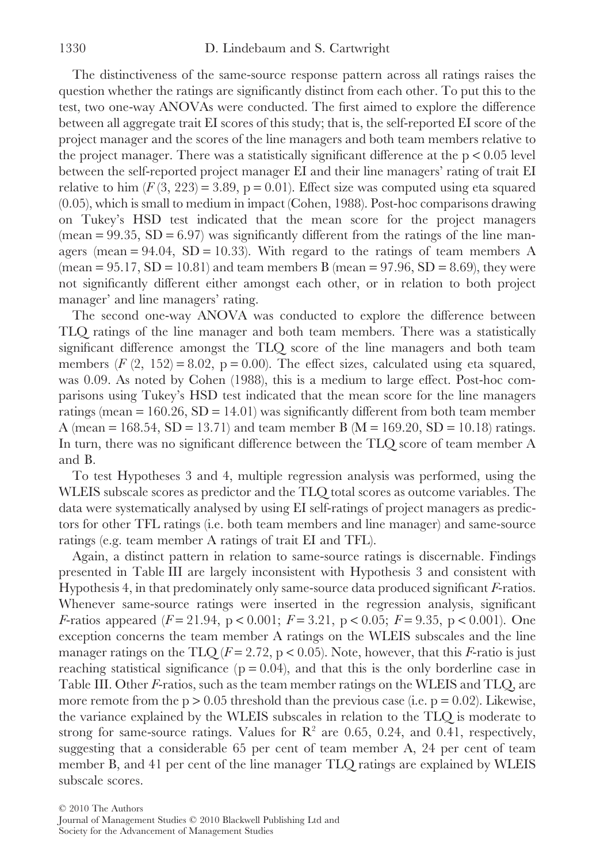The distinctiveness of the same-source response pattern across all ratings raises the question whether the ratings are significantly distinct from each other. To put this to the test, two one-way ANOVAs were conducted. The first aimed to explore the difference between all aggregate trait EI scores of this study; that is, the self-reported EI score of the project manager and the scores of the line managers and both team members relative to the project manager. There was a statistically significant difference at the  $p < 0.05$  level between the self-reported project manager EI and their line managers' rating of trait EI relative to him  $(F(3, 223) = 3.89, p = 0.01)$ . Effect size was computed using eta squared (0.05), which is small to medium in impact (Cohen, 1988). Post-hoc comparisons drawing on Tukey's HSD test indicated that the mean score for the project managers  $(mean = 99.35, SD = 6.97)$  was significantly different from the ratings of the line managers (mean  $= 94.04$ , SD  $= 10.33$ ). With regard to the ratings of team members A  $(mean = 95.17, SD = 10.81)$  and team members B  $(mean = 97.96, SD = 8.69)$ , they were not significantly different either amongst each other, or in relation to both project manager' and line managers' rating.

The second one-way ANOVA was conducted to explore the difference between TLQ ratings of the line manager and both team members. There was a statistically significant difference amongst the TLQ score of the line managers and both team members  $(F(2, 152) = 8.02$ ,  $p = 0.00$ ). The effect sizes, calculated using eta squared, was 0.09. As noted by Cohen (1988), this is a medium to large effect. Post-hoc comparisons using Tukey's HSD test indicated that the mean score for the line managers ratings (mean =  $160.26$ , SD =  $14.01$ ) was significantly different from both team member A (mean = 168.54, SD = 13.71) and team member B ( $M = 169.20$ , SD = 10.18) ratings. In turn, there was no significant difference between the TLQ score of team member A and B.

To test Hypotheses 3 and 4, multiple regression analysis was performed, using the WLEIS subscale scores as predictor and the TLQ total scores as outcome variables. The data were systematically analysed by using EI self-ratings of project managers as predictors for other TFL ratings (i.e. both team members and line manager) and same-source ratings (e.g. team member A ratings of trait EI and TFL).

Again, a distinct pattern in relation to same-source ratings is discernable. Findings presented in Table III are largely inconsistent with Hypothesis 3 and consistent with Hypothesis 4, in that predominately only same-source data produced significant *F*-ratios. Whenever same-source ratings were inserted in the regression analysis, significant *F*-ratios appeared (*F* = 21.94, p < 0.001; *F* = 3.21, p < 0.05; *F* = 9.35, p < 0.001). One exception concerns the team member A ratings on the WLEIS subscales and the line manager ratings on the TLQ  $(F = 2.72, p < 0.05)$ . Note, however, that this *F*-ratio is just reaching statistical significance ( $p = 0.04$ ), and that this is the only borderline case in Table III. Other *F*-ratios, such as the team member ratings on the WLEIS and TLQ, are more remote from the  $p > 0.05$  threshold than the previous case (i.e.  $p = 0.02$ ). Likewise, the variance explained by the WLEIS subscales in relation to the TLQ is moderate to strong for same-source ratings. Values for  $\mathbb{R}^2$  are 0.65, 0.24, and 0.41, respectively, suggesting that a considerable 65 per cent of team member A, 24 per cent of team member B, and 41 per cent of the line manager TLQ ratings are explained by WLEIS subscale scores.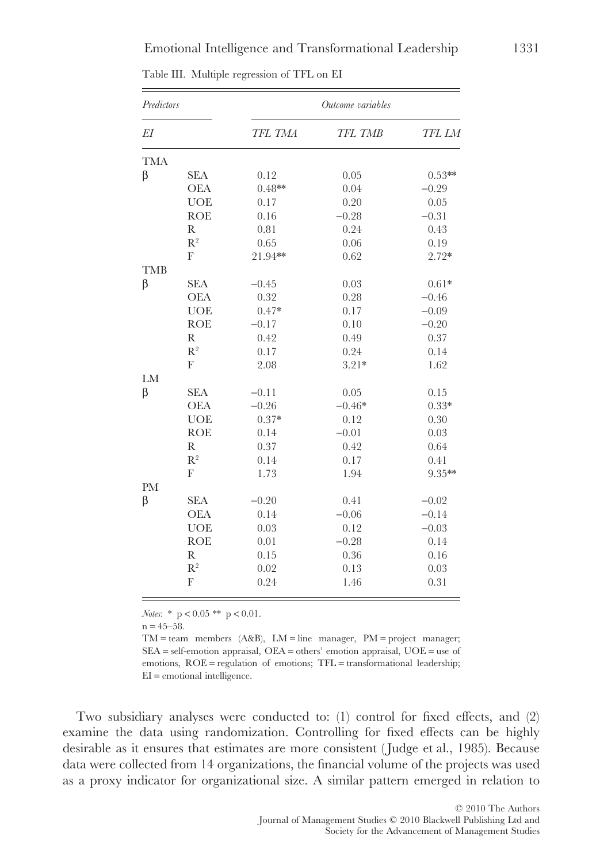| Predictors |                |          | Outcome variables |               |
|------------|----------------|----------|-------------------|---------------|
| EI         |                | TFL TMA  | TFL TMB           | <b>TFL LM</b> |
| <b>TMA</b> |                |          |                   |               |
| β          | <b>SEA</b>     | 0.12     | 0.05              | $0.53**$      |
|            | OEA            | $0.48**$ | 0.04              | $-0.29$       |
|            | <b>UOE</b>     | 0.17     | 0.20              | 0.05          |
|            | <b>ROE</b>     | 0.16     | $-0.28$           | $-0.31$       |
|            | $\mathbb{R}$   | 0.81     | 0.24              | 0.43          |
|            | $R^2$          | 0.65     | 0.06              | 0.19          |
|            | F              | 21.94**  | 0.62              | $2.72*$       |
| <b>TMB</b> |                |          |                   |               |
| $\beta$    | <b>SEA</b>     | $-0.45$  | 0.03              | $0.61*$       |
|            | <b>OEA</b>     | 0.32     | 0.28              | $-0.46$       |
|            | <b>UOE</b>     | $0.47*$  | 0.17              | $-0.09$       |
|            | <b>ROE</b>     | $-0.17$  | 0.10              | $-0.20$       |
|            | R              | 0.42     | 0.49              | 0.37          |
|            | $R^2$          | 0.17     | 0.24              | 0.14          |
|            | ${\bf F}$      | 2.08     | $3.21*$           | 1.62          |
| LM         |                |          |                   |               |
| β          | <b>SEA</b>     | $-0.11$  | 0.05              | 0.15          |
|            | <b>OEA</b>     | $-0.26$  | $-0.46*$          | $0.33*$       |
|            | <b>UOE</b>     | $0.37*$  | 0.12              | 0.30          |
|            | <b>ROE</b>     | 0.14     | $-0.01$           | 0.03          |
|            | $\mathbb{R}$   | 0.37     | 0.42              | 0.64          |
|            | $\mathbb{R}^2$ | 0.14     | 0.17              | 0.41          |
|            | F              | 1.73     | 1.94              | 9.35**        |
| <b>PM</b>  |                |          |                   |               |
| $\beta$    | <b>SEA</b>     | $-0.20$  | 0.41              | $-0.02$       |
|            | <b>OEA</b>     | 0.14     | $-0.06$           | $-0.14$       |
|            | <b>UOE</b>     | 0.03     | 0.12              | $-0.03$       |
|            | <b>ROE</b>     | 0.01     | $-0.28$           | 0.14          |
|            | $\mathbb R$    | 0.15     | 0.36              | 0.16          |
|            | $\mathbb{R}^2$ | 0.02     | 0.13              | 0.03          |
|            | F              | 0.24     | 1.46              | 0.31          |
|            |                |          |                   |               |

Table III. Multiple regression of TFL on EI

*Notes*: \* p < 0.05 \*\* p < 0.01.

 $n = 45 - 58$ .

TM = team members (A&B), LM = line manager, PM = project manager; SEA = self-emotion appraisal, OEA = others' emotion appraisal, UOE = use of emotions,  $ROE = regulation$  of emotions; TFL = transformational leadership; EI = emotional intelligence.

Two subsidiary analyses were conducted to: (1) control for fixed effects, and (2) examine the data using randomization. Controlling for fixed effects can be highly desirable as it ensures that estimates are more consistent ( Judge et al., 1985). Because data were collected from 14 organizations, the financial volume of the projects was used as a proxy indicator for organizational size. A similar pattern emerged in relation to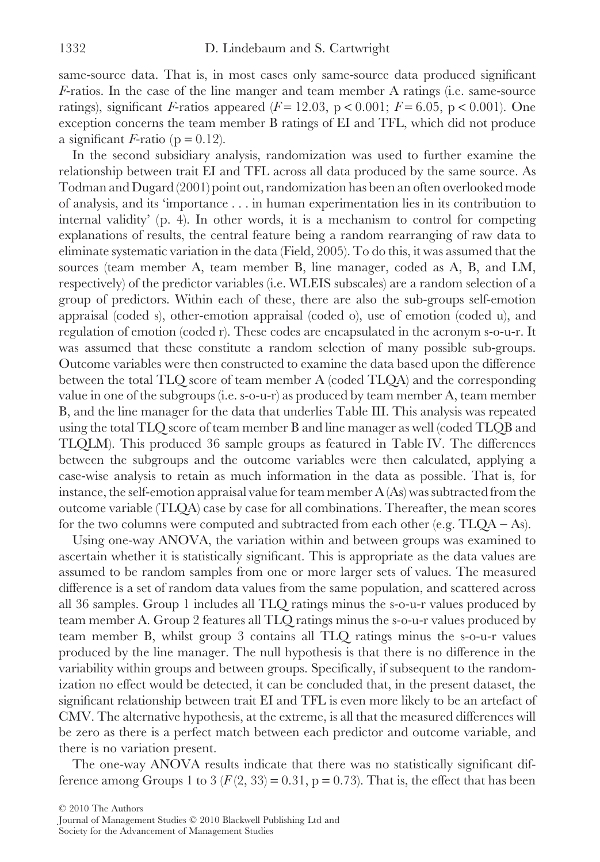same-source data. That is, in most cases only same-source data produced significant *F*-ratios. In the case of the line manger and team member A ratings (i.e. same-source ratings), significant *F*-ratios appeared  $(F = 12.03, p < 0.001; F = 6.05, p < 0.001)$ . One exception concerns the team member B ratings of EI and TFL, which did not produce a significant *F*-ratio ( $p = 0.12$ ).

In the second subsidiary analysis, randomization was used to further examine the relationship between trait EI and TFL across all data produced by the same source. As Todman and Dugard (2001) point out, randomization has been an often overlooked mode of analysis, and its 'importance . . . in human experimentation lies in its contribution to internal validity' (p. 4). In other words, it is a mechanism to control for competing explanations of results, the central feature being a random rearranging of raw data to eliminate systematic variation in the data (Field, 2005). To do this, it was assumed that the sources (team member A, team member B, line manager, coded as A, B, and LM, respectively) of the predictor variables (i.e. WLEIS subscales) are a random selection of a group of predictors. Within each of these, there are also the sub-groups self-emotion appraisal (coded s), other-emotion appraisal (coded o), use of emotion (coded u), and regulation of emotion (coded r). These codes are encapsulated in the acronym s-o-u-r. It was assumed that these constitute a random selection of many possible sub-groups. Outcome variables were then constructed to examine the data based upon the difference between the total TLQ score of team member A (coded TLQA) and the corresponding value in one of the subgroups (i.e. s-o-u-r) as produced by team member A, team member B, and the line manager for the data that underlies Table III. This analysis was repeated using the total TLQ score of team member B and line manager as well (coded TLQB and TLQLM). This produced 36 sample groups as featured in Table IV. The differences between the subgroups and the outcome variables were then calculated, applying a case-wise analysis to retain as much information in the data as possible. That is, for instance, the self-emotion appraisal value for team member A (As) was subtracted from the outcome variable (TLQA) case by case for all combinations. Thereafter, the mean scores for the two columns were computed and subtracted from each other (e.g.  $TLOA - As$ ).

Using one-way ANOVA, the variation within and between groups was examined to ascertain whether it is statistically significant. This is appropriate as the data values are assumed to be random samples from one or more larger sets of values. The measured difference is a set of random data values from the same population, and scattered across all 36 samples. Group 1 includes all TLQ ratings minus the s-o-u-r values produced by team member A. Group 2 features all TLQ ratings minus the s-o-u-r values produced by team member B, whilst group 3 contains all TLQ ratings minus the s-o-u-r values produced by the line manager. The null hypothesis is that there is no difference in the variability within groups and between groups. Specifically, if subsequent to the randomization no effect would be detected, it can be concluded that, in the present dataset, the significant relationship between trait EI and TFL is even more likely to be an artefact of CMV. The alternative hypothesis, at the extreme, is all that the measured differences will be zero as there is a perfect match between each predictor and outcome variable, and there is no variation present.

The one-way ANOVA results indicate that there was no statistically significant difference among Groups 1 to 3  $(F(2, 33) = 0.31, p = 0.73)$ . That is, the effect that has been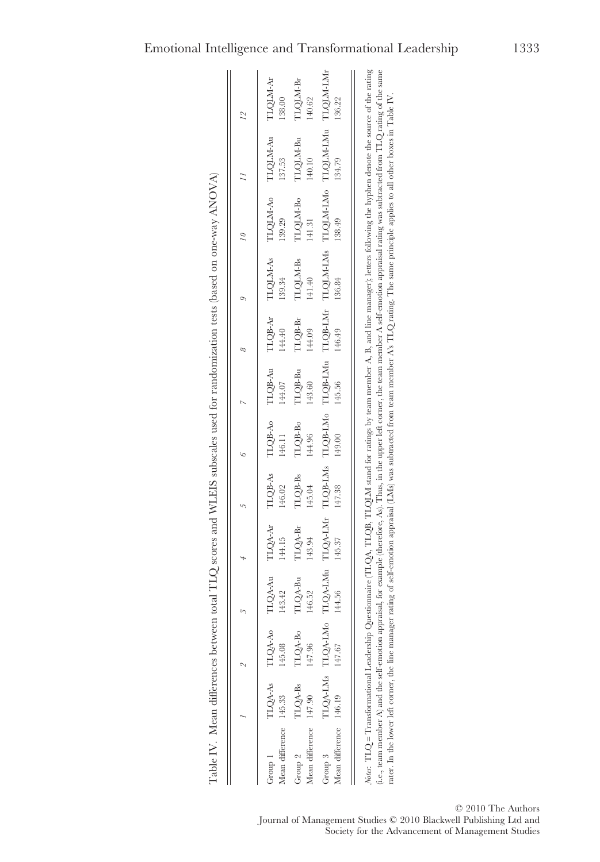|                                   |                 |                             |                    |                   | Ģ                 | S                                                                        |                   |                   |                            | $\tilde{z}$                                                       | $\overline{11}$               | 12                 |
|-----------------------------------|-----------------|-----------------------------|--------------------|-------------------|-------------------|--------------------------------------------------------------------------|-------------------|-------------------|----------------------------|-------------------------------------------------------------------|-------------------------------|--------------------|
| Mean difference 145.33<br>Group 1 | TLQA-As TLQA-Ao | 45.08                       | TLQA-Au<br>143.42  | 144.15            | 146.02            | $T L Q A - Ar = T L Q B - As = T L Q B - A \circ T L Q B - Au$<br>146.11 | 144.07            | 44.40             | TLQB-Ar TLQLM-As<br>139.34 | TLQLM-Ao<br>139.29                                                | TLQLM-Au<br>137.53            | TLQLM-Ar<br>138.00 |
| Mean difference 147.90<br>Group 2 | TLQA-Bs         | TLQA-Bo<br>147.96           | ILQA-Bu<br>146.52  | TLQA-Br<br>143.94 | TLQB-Bs<br>145.04 | TLQB-Bo<br>144.96                                                        | TLQB-Bu<br>143.60 | TLQB-Br<br>144.09 | TLQLM-Bs<br>41.40          | TLQLM-Bo<br>141.31                                                | TLQLM-Bu<br>140.10            | TLQLM-Br<br>140.62 |
| Mean difference 146.19<br>Group 3 |                 | TLQA-LMs TLQA-LMo<br>147.67 | ILQA-LMu<br>144.56 | 145.37            | 147.38            | 149.00                                                                   | 145.56            | 146.49            | 136.84                     | TLQA-LAG TLQB-LAG TLQB-LAG TLQB-LAG TLQUA-LAG TLQUA-LAG<br>138.49 | TLQLM-LMu TLQLM-LMr<br>134.79 | 136.22             |

| re (TLQA, TLQB, TLQLM stand for ratings by team member A, B, and line manager); letters following the hyphen denote the source of the rating<br>Ē<br>i<br>ī<br>¢ | ppraisal, for example (therefore, As). Thus, in the upper left corner, the team member A self-emotion appraisal rating was subtracted from TLQ rating of the same<br>Ş | ger rating of self-emotion appraisal (LMs) was subtracted from team member A's TLQ rating. The same principle applies to all other boxes in Table IV<br>医皮肤病 医皮肤病 |
|------------------------------------------------------------------------------------------------------------------------------------------------------------------|------------------------------------------------------------------------------------------------------------------------------------------------------------------------|-------------------------------------------------------------------------------------------------------------------------------------------------------------------|
| $\mathbf{I}$                                                                                                                                                     | $\ddot{\phantom{a}}$                                                                                                                                                   | í<br>ha Iovine<br>$\sim$ 1 $\sim$ 1                                                                                                                               |

© 2010 The Authors Journal of Management Studies © 2010 Blackwell Publishing Ltd and Society for the Advancement of Management Studies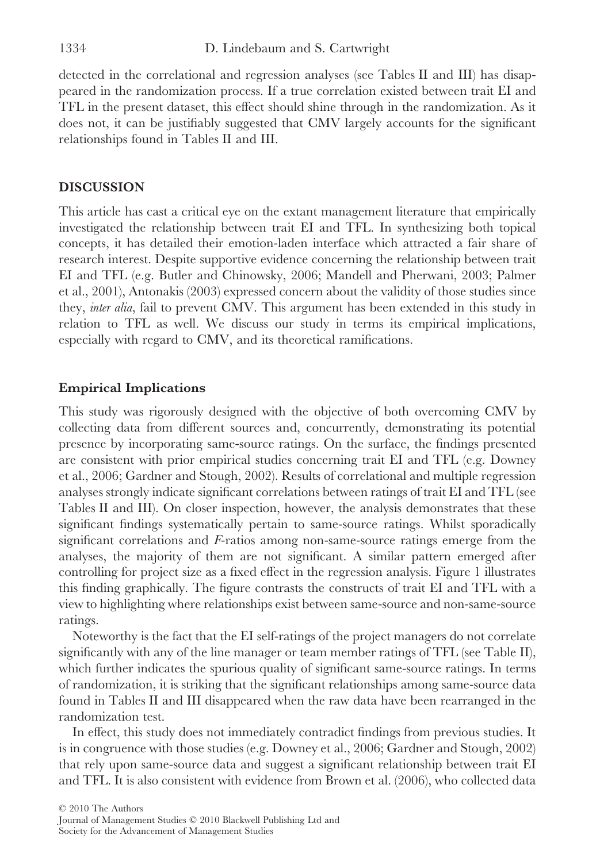detected in the correlational and regression analyses (see Tables II and III) has disappeared in the randomization process. If a true correlation existed between trait EI and TFL in the present dataset, this effect should shine through in the randomization. As it does not, it can be justifiably suggested that CMV largely accounts for the significant relationships found in Tables II and III.

# **DISCUSSION**

This article has cast a critical eye on the extant management literature that empirically investigated the relationship between trait EI and TFL. In synthesizing both topical concepts, it has detailed their emotion-laden interface which attracted a fair share of research interest. Despite supportive evidence concerning the relationship between trait EI and TFL (e.g. Butler and Chinowsky, 2006; Mandell and Pherwani, 2003; Palmer et al., 2001), Antonakis (2003) expressed concern about the validity of those studies since they, *inter alia*, fail to prevent CMV. This argument has been extended in this study in relation to TFL as well. We discuss our study in terms its empirical implications, especially with regard to CMV, and its theoretical ramifications.

# **Empirical Implications**

This study was rigorously designed with the objective of both overcoming CMV by collecting data from different sources and, concurrently, demonstrating its potential presence by incorporating same-source ratings. On the surface, the findings presented are consistent with prior empirical studies concerning trait EI and TFL (e.g. Downey et al., 2006; Gardner and Stough, 2002). Results of correlational and multiple regression analyses strongly indicate significant correlations between ratings of trait EI and TFL (see Tables II and III). On closer inspection, however, the analysis demonstrates that these significant findings systematically pertain to same-source ratings. Whilst sporadically significant correlations and *F*-ratios among non-same-source ratings emerge from the analyses, the majority of them are not significant. A similar pattern emerged after controlling for project size as a fixed effect in the regression analysis. Figure 1 illustrates this finding graphically. The figure contrasts the constructs of trait EI and TFL with a view to highlighting where relationships exist between same-source and non-same-source ratings.

Noteworthy is the fact that the EI self-ratings of the project managers do not correlate significantly with any of the line manager or team member ratings of TFL (see Table II), which further indicates the spurious quality of significant same-source ratings. In terms of randomization, it is striking that the significant relationships among same-source data found in Tables II and III disappeared when the raw data have been rearranged in the randomization test.

In effect, this study does not immediately contradict findings from previous studies. It is in congruence with those studies (e.g. Downey et al., 2006; Gardner and Stough, 2002) that rely upon same-source data and suggest a significant relationship between trait EI and TFL. It is also consistent with evidence from Brown et al. (2006), who collected data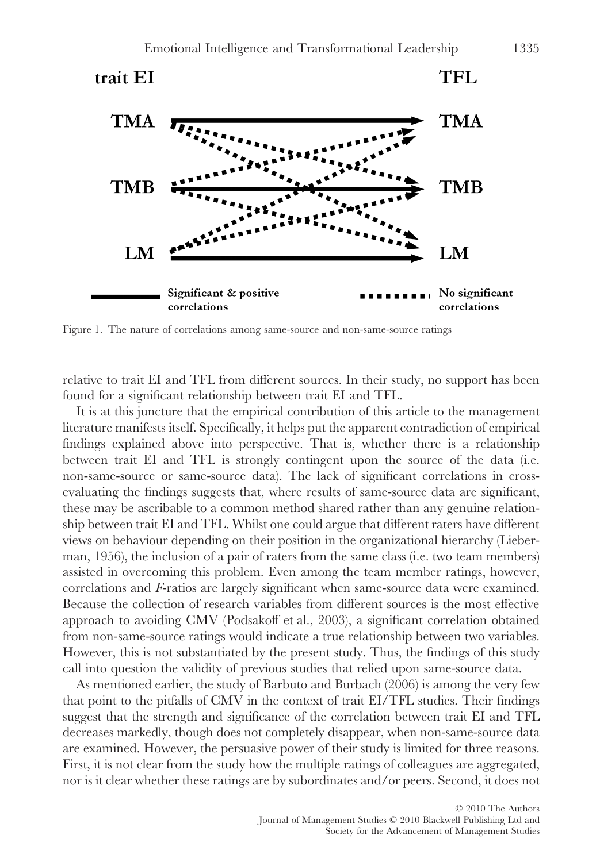

**TFL** 



Figure 1. The nature of correlations among same-source and non-same-source ratings

relative to trait EI and TFL from different sources. In their study, no support has been found for a significant relationship between trait EI and TFL.

It is at this juncture that the empirical contribution of this article to the management literature manifests itself. Specifically, it helps put the apparent contradiction of empirical findings explained above into perspective. That is, whether there is a relationship between trait EI and TFL is strongly contingent upon the source of the data (i.e. non-same-source or same-source data). The lack of significant correlations in crossevaluating the findings suggests that, where results of same-source data are significant, these may be ascribable to a common method shared rather than any genuine relationship between trait EI and TFL. Whilst one could argue that different raters have different views on behaviour depending on their position in the organizational hierarchy (Lieberman, 1956), the inclusion of a pair of raters from the same class (i.e. two team members) assisted in overcoming this problem. Even among the team member ratings, however, correlations and *F*-ratios are largely significant when same-source data were examined. Because the collection of research variables from different sources is the most effective approach to avoiding CMV (Podsakoff et al., 2003), a significant correlation obtained from non-same-source ratings would indicate a true relationship between two variables. However, this is not substantiated by the present study. Thus, the findings of this study call into question the validity of previous studies that relied upon same-source data.

As mentioned earlier, the study of Barbuto and Burbach (2006) is among the very few that point to the pitfalls of CMV in the context of trait EI/TFL studies. Their findings suggest that the strength and significance of the correlation between trait EI and TFL decreases markedly, though does not completely disappear, when non-same-source data are examined. However, the persuasive power of their study is limited for three reasons. First, it is not clear from the study how the multiple ratings of colleagues are aggregated, nor is it clear whether these ratings are by subordinates and/or peers. Second, it does not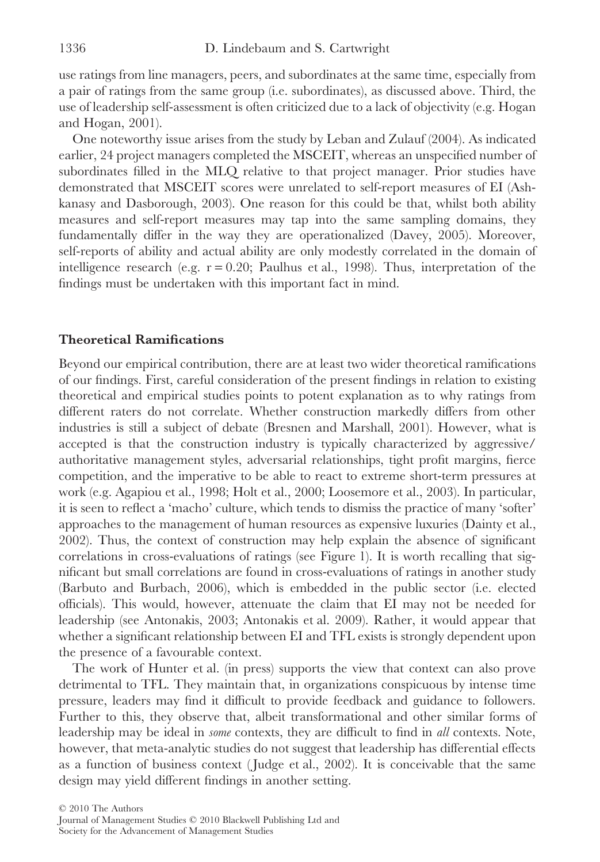use ratings from line managers, peers, and subordinates at the same time, especially from a pair of ratings from the same group (i.e. subordinates), as discussed above. Third, the use of leadership self-assessment is often criticized due to a lack of objectivity (e.g. Hogan and Hogan, 2001).

One noteworthy issue arises from the study by Leban and Zulauf (2004). As indicated earlier, 24 project managers completed the MSCEIT, whereas an unspecified number of subordinates filled in the MLQ relative to that project manager. Prior studies have demonstrated that MSCEIT scores were unrelated to self-report measures of EI (Ashkanasy and Dasborough, 2003). One reason for this could be that, whilst both ability measures and self-report measures may tap into the same sampling domains, they fundamentally differ in the way they are operationalized (Davey, 2005). Moreover, self-reports of ability and actual ability are only modestly correlated in the domain of intelligence research (e.g.  $r = 0.20$ ; Paulhus et al., 1998). Thus, interpretation of the findings must be undertaken with this important fact in mind.

#### **Theoretical Ramifications**

Beyond our empirical contribution, there are at least two wider theoretical ramifications of our findings. First, careful consideration of the present findings in relation to existing theoretical and empirical studies points to potent explanation as to why ratings from different raters do not correlate. Whether construction markedly differs from other industries is still a subject of debate (Bresnen and Marshall, 2001). However, what is accepted is that the construction industry is typically characterized by aggressive/ authoritative management styles, adversarial relationships, tight profit margins, fierce competition, and the imperative to be able to react to extreme short-term pressures at work (e.g. Agapiou et al., 1998; Holt et al., 2000; Loosemore et al., 2003). In particular, it is seen to reflect a 'macho' culture, which tends to dismiss the practice of many 'softer' approaches to the management of human resources as expensive luxuries (Dainty et al., 2002). Thus, the context of construction may help explain the absence of significant correlations in cross-evaluations of ratings (see Figure 1). It is worth recalling that significant but small correlations are found in cross-evaluations of ratings in another study (Barbuto and Burbach, 2006), which is embedded in the public sector (i.e. elected officials). This would, however, attenuate the claim that EI may not be needed for leadership (see Antonakis, 2003; Antonakis et al. 2009). Rather, it would appear that whether a significant relationship between EI and TFL exists is strongly dependent upon the presence of a favourable context.

The work of Hunter et al. (in press) supports the view that context can also prove detrimental to TFL. They maintain that, in organizations conspicuous by intense time pressure, leaders may find it difficult to provide feedback and guidance to followers. Further to this, they observe that, albeit transformational and other similar forms of leadership may be ideal in *some* contexts, they are difficult to find in *all* contexts. Note, however, that meta-analytic studies do not suggest that leadership has differential effects as a function of business context ( Judge et al., 2002). It is conceivable that the same design may yield different findings in another setting.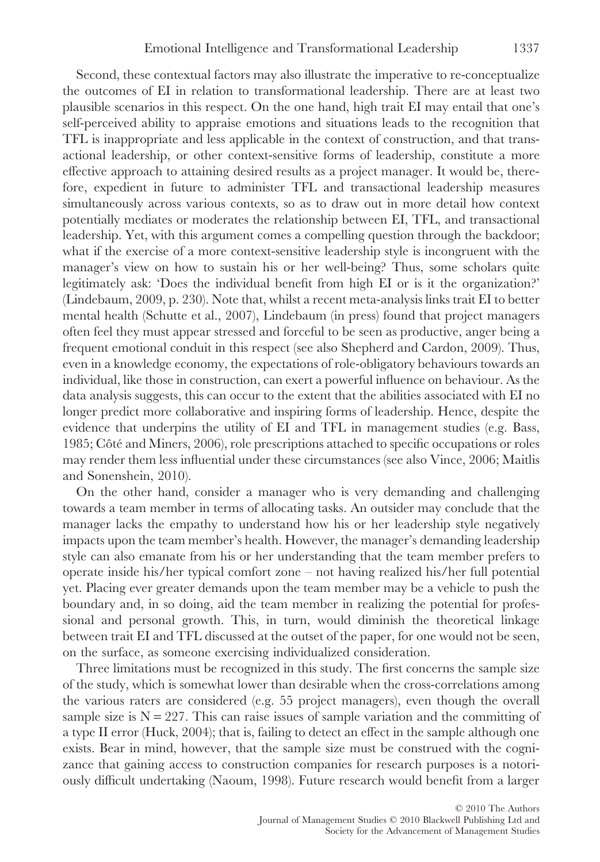Second, these contextual factors may also illustrate the imperative to re-conceptualize the outcomes of EI in relation to transformational leadership. There are at least two plausible scenarios in this respect. On the one hand, high trait EI may entail that one's self-perceived ability to appraise emotions and situations leads to the recognition that TFL is inappropriate and less applicable in the context of construction, and that transactional leadership, or other context-sensitive forms of leadership, constitute a more effective approach to attaining desired results as a project manager. It would be, therefore, expedient in future to administer TFL and transactional leadership measures simultaneously across various contexts, so as to draw out in more detail how context potentially mediates or moderates the relationship between EI, TFL, and transactional leadership. Yet, with this argument comes a compelling question through the backdoor; what if the exercise of a more context-sensitive leadership style is incongruent with the manager's view on how to sustain his or her well-being? Thus, some scholars quite legitimately ask: 'Does the individual benefit from high EI or is it the organization?' (Lindebaum, 2009, p. 230). Note that, whilst a recent meta-analysis links trait EI to better mental health (Schutte et al., 2007), Lindebaum (in press) found that project managers often feel they must appear stressed and forceful to be seen as productive, anger being a frequent emotional conduit in this respect (see also Shepherd and Cardon, 2009). Thus, even in a knowledge economy, the expectations of role-obligatory behaviours towards an individual, like those in construction, can exert a powerful influence on behaviour. As the data analysis suggests, this can occur to the extent that the abilities associated with EI no longer predict more collaborative and inspiring forms of leadership. Hence, despite the evidence that underpins the utility of EI and TFL in management studies (e.g. Bass, 1985; Côté and Miners, 2006), role prescriptions attached to specific occupations or roles may render them less influential under these circumstances (see also Vince, 2006; Maitlis

and Sonenshein, 2010).

On the other hand, consider a manager who is very demanding and challenging towards a team member in terms of allocating tasks. An outsider may conclude that the manager lacks the empathy to understand how his or her leadership style negatively impacts upon the team member's health. However, the manager's demanding leadership style can also emanate from his or her understanding that the team member prefers to operate inside his/her typical comfort zone – not having realized his/her full potential yet. Placing ever greater demands upon the team member may be a vehicle to push the boundary and, in so doing, aid the team member in realizing the potential for professional and personal growth. This, in turn, would diminish the theoretical linkage between trait EI and TFL discussed at the outset of the paper, for one would not be seen, on the surface, as someone exercising individualized consideration.

Three limitations must be recognized in this study. The first concerns the sample size of the study, which is somewhat lower than desirable when the cross-correlations among the various raters are considered (e.g. 55 project managers), even though the overall sample size is  $N = 227$ . This can raise issues of sample variation and the committing of a type II error (Huck, 2004); that is, failing to detect an effect in the sample although one exists. Bear in mind, however, that the sample size must be construed with the cognizance that gaining access to construction companies for research purposes is a notoriously difficult undertaking (Naoum, 1998). Future research would benefit from a larger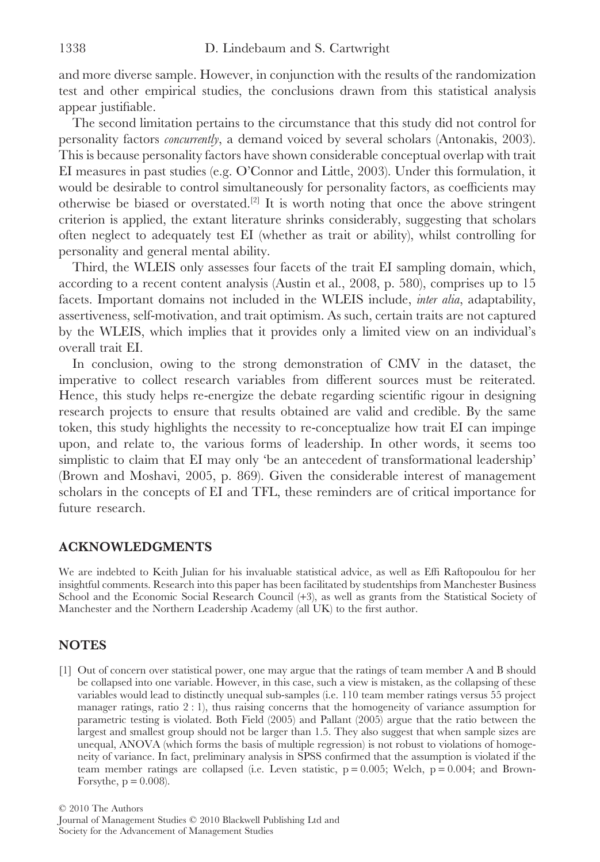and more diverse sample. However, in conjunction with the results of the randomization test and other empirical studies, the conclusions drawn from this statistical analysis appear justifiable.

The second limitation pertains to the circumstance that this study did not control for personality factors *concurrently*, a demand voiced by several scholars (Antonakis, 2003). This is because personality factors have shown considerable conceptual overlap with trait EI measures in past studies (e.g. O'Connor and Little, 2003). Under this formulation, it would be desirable to control simultaneously for personality factors, as coefficients may otherwise be biased or overstated.[2] It is worth noting that once the above stringent criterion is applied, the extant literature shrinks considerably, suggesting that scholars often neglect to adequately test EI (whether as trait or ability), whilst controlling for personality and general mental ability.

Third, the WLEIS only assesses four facets of the trait EI sampling domain, which, according to a recent content analysis (Austin et al., 2008, p. 580), comprises up to 15 facets. Important domains not included in the WLEIS include, *inter alia*, adaptability, assertiveness, self-motivation, and trait optimism. As such, certain traits are not captured by the WLEIS, which implies that it provides only a limited view on an individual's overall trait EI.

In conclusion, owing to the strong demonstration of CMV in the dataset, the imperative to collect research variables from different sources must be reiterated. Hence, this study helps re-energize the debate regarding scientific rigour in designing research projects to ensure that results obtained are valid and credible. By the same token, this study highlights the necessity to re-conceptualize how trait EI can impinge upon, and relate to, the various forms of leadership. In other words, it seems too simplistic to claim that EI may only 'be an antecedent of transformational leadership' (Brown and Moshavi, 2005, p. 869). Given the considerable interest of management scholars in the concepts of EI and TFL, these reminders are of critical importance for future research.

#### **ACKNOWLEDGMENTS**

We are indebted to Keith Julian for his invaluable statistical advice, as well as Effi Raftopoulou for her insightful comments. Research into this paper has been facilitated by studentships from Manchester Business School and the Economic Social Research Council (+3), as well as grants from the Statistical Society of Manchester and the Northern Leadership Academy (all UK) to the first author.

# **NOTES**

[1] Out of concern over statistical power, one may argue that the ratings of team member A and B should be collapsed into one variable. However, in this case, such a view is mistaken, as the collapsing of these variables would lead to distinctly unequal sub-samples (i.e. 110 team member ratings versus 55 project manager ratings, ratio  $2:1$ , thus raising concerns that the homogeneity of variance assumption for parametric testing is violated. Both Field (2005) and Pallant (2005) argue that the ratio between the largest and smallest group should not be larger than 1.5. They also suggest that when sample sizes are unequal, ANOVA (which forms the basis of multiple regression) is not robust to violations of homogeneity of variance. In fact, preliminary analysis in SPSS confirmed that the assumption is violated if the team member ratings are collapsed (i.e. Leven statistic,  $p = 0.005$ ; Welch,  $p = 0.004$ ; and Brown-For sy the,  $p = 0.008$ .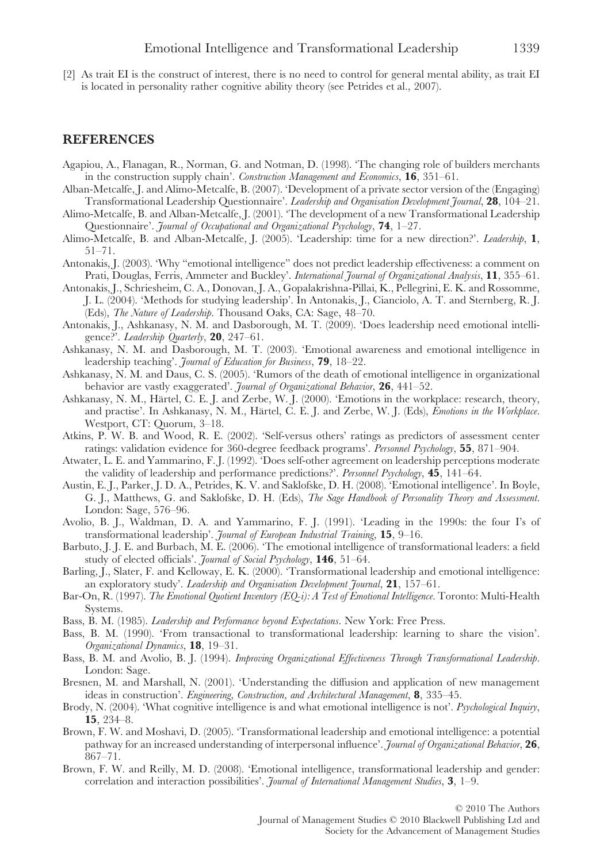[2] As trait EI is the construct of interest, there is no need to control for general mental ability, as trait EI is located in personality rather cognitive ability theory (see Petrides et al., 2007).

#### **REFERENCES**

- Agapiou, A., Flanagan, R., Norman, G. and Notman, D. (1998). 'The changing role of builders merchants in the construction supply chain'. *Construction Management and Economics*, **16**, 351–61.
- Alban-Metcalfe, J. and Alimo-Metcalfe, B. (2007). 'Development of a private sector version of the (Engaging) Transformational Leadership Questionnaire'. *Leadership and Organisation Development Journal*, **28**, 104–21.
- Alimo-Metcalfe, B. and Alban-Metcalfe, J. (2001). 'The development of a new Transformational Leadership Questionnaire'. *Journal of Occupational and Organizational Psychology*, **74**, 1–27.
- Alimo-Metcalfe, B. and Alban-Metcalfe, J. (2005). 'Leadership: time for a new direction?'. *Leadership*, **1**, 51–71.
- Antonakis, J. (2003). 'Why "emotional intelligence" does not predict leadership effectiveness: a comment on Prati, Douglas, Ferris, Ammeter and Buckley'. *International Journal of Organizational Analysis*, **11**, 355–61.
- Antonakis, J., Schriesheim, C. A., Donovan, J. A., Gopalakrishna-Pillai, K., Pellegrini, E. K. and Rossomme, J. L. (2004). 'Methods for studying leadership'. In Antonakis, J., Cianciolo, A. T. and Sternberg, R. J. (Eds), *The Nature of Leadership*. Thousand Oaks, CA: Sage, 48–70.
- Antonakis, J., Ashkanasy, N. M. and Dasborough, M. T. (2009). 'Does leadership need emotional intelligence?'. *Leadership Quarterly*, **20**, 247–61.
- Ashkanasy, N. M. and Dasborough, M. T. (2003). 'Emotional awareness and emotional intelligence in leadership teaching'. *Journal of Education for Business*, **79**, 18–22.
- Ashkanasy, N. M. and Daus, C. S. (2005). 'Rumors of the death of emotional intelligence in organizational behavior are vastly exaggerated'. *Journal of Organizational Behavior*, **26**, 441–52.
- Ashkanasy, N. M., Härtel, C. E. J. and Zerbe, W. J. (2000). 'Emotions in the workplace: research, theory, and practise'. In Ashkanasy, N. M., Härtel, C. E. J. and Zerbe, W. J. (Eds), *Emotions in the Workplace*. Westport, CT: Quorum, 3–18.
- Atkins, P. W. B. and Wood, R. E. (2002). 'Self-versus others' ratings as predictors of assessment center ratings: validation evidence for 360-degree feedback programs'. *Personnel Psychology*, **55**, 871–904.
- Atwater, L. E. and Yammarino, F. J. (1992). 'Does self-other agreement on leadership perceptions moderate the validity of leadership and performance predictions?'. *Personnel Psychology*, **45**, 141–64.
- Austin, E. J., Parker, J. D. A., Petrides, K. V. and Saklofske, D. H. (2008). 'Emotional intelligence'. In Boyle, G. J., Matthews, G. and Saklofske, D. H. (Eds), *The Sage Handbook of Personality Theory and Assessment*. London: Sage, 576–96.
- Avolio, B. J., Waldman, D. A. and Yammarino, F. J. (1991). 'Leading in the 1990s: the four I's of transformational leadership'. *Journal of European Industrial Training*, **15**, 9–16.
- Barbuto, J. J. E. and Burbach, M. E. (2006). 'The emotional intelligence of transformational leaders: a field study of elected officials'. *Journal of Social Psychology*, **146**, 51–64.
- Barling, J., Slater, F. and Kelloway, E. K. (2000). 'Transformational leadership and emotional intelligence: an exploratory study'. *Leadership and Organisation Development Journal*, **21**, 157–61.
- Bar-On, R. (1997). *The Emotional Quotient Inventory (EQ-i): A Test of Emotional Intelligence*. Toronto: Multi-Health Systems.
- Bass, B. M. (1985). *Leadership and Performance beyond Expectations*. New York: Free Press.
- Bass, B. M. (1990). 'From transactional to transformational leadership: learning to share the vision'. *Organizational Dynamics*, **18**, 19–31.
- Bass, B. M. and Avolio, B. J. (1994). *Improving Organizational Effectiveness Through Transformational Leadership*. London: Sage.
- Bresnen, M. and Marshall, N. (2001). 'Understanding the diffusion and application of new management ideas in construction'. *Engineering, Construction, and Architectural Management*, **8**, 335–45.
- Brody, N. (2004). 'What cognitive intelligence is and what emotional intelligence is not'. *Psychological Inquiry*, **15**, 234–8.
- Brown, F. W. and Moshavi, D. (2005). 'Transformational leadership and emotional intelligence: a potential pathway for an increased understanding of interpersonal influence'. *Journal of Organizational Behavior*, **26**, 867–71.
- Brown, F. W. and Reilly, M. D. (2008). 'Emotional intelligence, transformational leadership and gender: correlation and interaction possibilities'. *Journal of International Management Studies*, **3**, 1–9.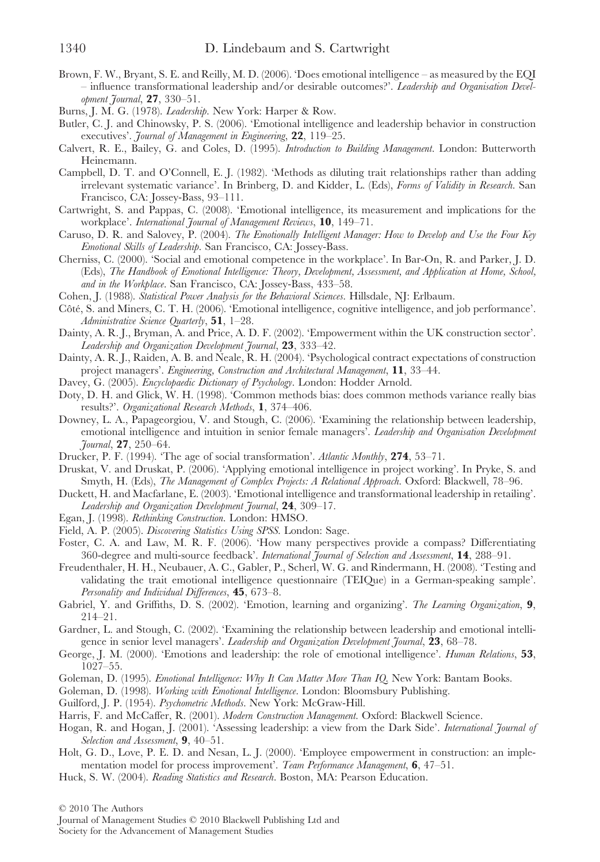- Brown, F. W., Bryant, S. E. and Reilly, M. D. (2006). 'Does emotional intelligence as measured by the EQI – influence transformational leadership and/or desirable outcomes?'. *Leadership and Organisation Development Journal*, **27**, 330–51.
- Burns, J. M. G. (1978). *Leadership*. New York: Harper & Row.
- Butler, C. J. and Chinowsky, P. S. (2006). 'Emotional intelligence and leadership behavior in construction executives'. *Journal of Management in Engineering*, **22**, 119–25.
- Calvert, R. E., Bailey, G. and Coles, D. (1995). *Introduction to Building Management*. London: Butterworth Heinemann.
- Campbell, D. T. and O'Connell, E. J. (1982). 'Methods as diluting trait relationships rather than adding irrelevant systematic variance'. In Brinberg, D. and Kidder, L. (Eds), *Forms of Validity in Research*. San Francisco, CA: Jossey-Bass, 93–111.
- Cartwright, S. and Pappas, C. (2008). 'Emotional intelligence, its measurement and implications for the workplace'. *International Journal of Management Reviews*, **10**, 149–71.
- Caruso, D. R. and Salovey, P. (2004). *The Emotionally Intelligent Manager: How to Develop and Use the Four Key Emotional Skills of Leadership*. San Francisco, CA: Jossey-Bass.
- Cherniss, C. (2000). 'Social and emotional competence in the workplace'. In Bar-On, R. and Parker, J. D. (Eds), *The Handbook of Emotional Intelligence: Theory, Development, Assessment, and Application at Home, School, and in the Workplace*. San Francisco, CA: Jossey-Bass, 433–58.
- Cohen, J. (1988). *Statistical Power Analysis for the Behavioral Sciences*. Hillsdale, NJ: Erlbaum.
- Côté, S. and Miners, C. T. H. (2006). 'Emotional intelligence, cognitive intelligence, and job performance'. *Administrative Science Quarterly*, **51**, 1–28.
- Dainty, A. R. J., Bryman, A. and Price, A. D. F. (2002). 'Empowerment within the UK construction sector'. *Leadership and Organization Development Journal*, **23**, 333–42.
- Dainty, A. R. J., Raiden, A. B. and Neale, R. H. (2004). 'Psychological contract expectations of construction project managers'. *Engineering, Construction and Architectural Management*, **11**, 33–44.
- Davey, G. (2005). *Encyclopaedic Dictionary of Psychology*. London: Hodder Arnold.
- Doty, D. H. and Glick, W. H. (1998). 'Common methods bias: does common methods variance really bias results?'. *Organizational Research Methods*, **1**, 374–406.
- Downey, L. A., Papageorgiou, V. and Stough, C. (2006). 'Examining the relationship between leadership, emotional intelligence and intuition in senior female managers'. *Leadership and Organisation Development Journal*, **27**, 250–64.
- Drucker, P. F. (1994). 'The age of social transformation'. *Atlantic Monthly*, **274**, 53–71.
- Druskat, V. and Druskat, P. (2006). 'Applying emotional intelligence in project working'. In Pryke, S. and Smyth, H. (Eds), *The Management of Complex Projects: A Relational Approach*. Oxford: Blackwell, 78–96.
- Duckett, H. and Macfarlane, E. (2003). 'Emotional intelligence and transformational leadership in retailing'. *Leadership and Organization Development Journal*, **24**, 309–17.
- Egan, J. (1998). *Rethinking Construction*. London: HMSO.
- Field, A. P. (2005). *Discovering Statistics Using SPSS*. London: Sage.
- Foster, C. A. and Law, M. R. F. (2006). 'How many perspectives provide a compass? Differentiating 360-degree and multi-source feedback'. *International Journal of Selection and Assessment*, **14**, 288–91.
- Freudenthaler, H. H., Neubauer, A. C., Gabler, P., Scherl, W. G. and Rindermann, H. (2008). 'Testing and validating the trait emotional intelligence questionnaire (TEIQue) in a German-speaking sample'. *Personality and Individual Differences*, **45**, 673–8.
- Gabriel, Y. and Griffiths, D. S. (2002). 'Emotion, learning and organizing'. *The Learning Organization*, **9**, 214–21.
- Gardner, L. and Stough, C. (2002). 'Examining the relationship between leadership and emotional intelligence in senior level managers'. *Leadership and Organization Development Journal*, **23**, 68–78.
- George, J. M. (2000). 'Emotions and leadership: the role of emotional intelligence'. *Human Relations*, **53**, 1027–55.
- Goleman, D. (1995). *Emotional Intelligence: Why It Can Matter More Than IQ*. New York: Bantam Books.
- Goleman, D. (1998). *Working with Emotional Intelligence*. London: Bloomsbury Publishing.
- Guilford, J. P. (1954). *Psychometric Methods*. New York: McGraw-Hill.
- Harris, F. and McCaffer, R. (2001). *Modern Construction Management*. Oxford: Blackwell Science.
- Hogan, R. and Hogan, J. (2001). 'Assessing leadership: a view from the Dark Side'. *International Journal of Selection and Assessment*, **9**, 40–51.
- Holt, G. D., Love, P. E. D. and Nesan, L. J. (2000). 'Employee empowerment in construction: an implementation model for process improvement'. *Team Performance Management*, **6**, 47–51.
- Huck, S. W. (2004). *Reading Statistics and Research*. Boston, MA: Pearson Education.

© 2010 The Authors

Journal of Management Studies © 2010 Blackwell Publishing Ltd and Society for the Advancement of Management Studies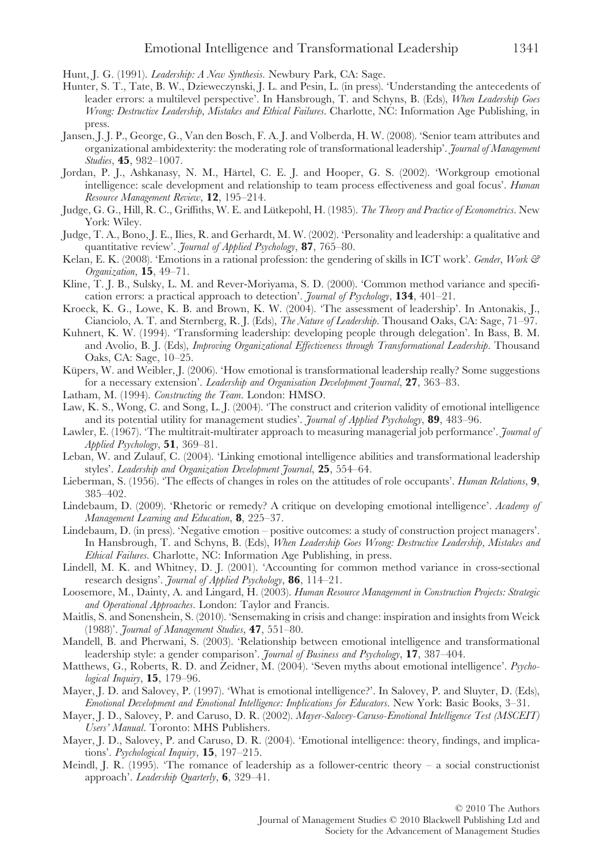- Hunt, J. G. (1991). *Leadership: A New Synthesis*. Newbury Park, CA: Sage.
- Hunter, S. T., Tate, B. W., Dzieweczynski, J. L. and Pesin, L. (in press). 'Understanding the antecedents of leader errors: a multilevel perspective'. In Hansbrough, T. and Schyns, B. (Eds), *When Leadership Goes Wrong: Destructive Leadership, Mistakes and Ethical Failures*. Charlotte, NC: Information Age Publishing, in press.
- Jansen, J. J. P., George, G., Van den Bosch, F. A. J. and Volberda, H. W. (2008). 'Senior team attributes and organizational ambidexterity: the moderating role of transformational leadership'. *Journal of Management Studies*, **45**, 982–1007.
- Jordan, P. J., Ashkanasy, N. M., Härtel, C. E. J. and Hooper, G. S. (2002). 'Workgroup emotional intelligence: scale development and relationship to team process effectiveness and goal focus'. *Human Resource Management Review*, **12**, 195–214.
- Judge, G. G., Hill, R. C., Griffiths, W. E. and Lütkepohl, H. (1985). *The Theory and Practice of Econometrics*. New York: Wiley.
- Judge, T. A., Bono, J. E., Ilies, R. and Gerhardt, M. W. (2002). 'Personality and leadership: a qualitative and quantitative review'. *Journal of Applied Psychology*, **87**, 765–80.
- Kelan, E. K. (2008). 'Emotions in a rational profession: the gendering of skills in ICT work'. *Gender, Work & Organization*, **15**, 49–71.
- Kline, T. J. B., Sulsky, L. M. and Rever-Moriyama, S. D. (2000). 'Common method variance and specification errors: a practical approach to detection'. *Journal of Psychology*, **134**, 401–21.
- Kroeck, K. G., Lowe, K. B. and Brown, K. W. (2004). 'The assessment of leadership'. In Antonakis, J., Cianciolo, A. T. and Sternberg, R. J. (Eds), *The Nature of Leadership*. Thousand Oaks, CA: Sage, 71–97.
- Kuhnert, K. W. (1994). 'Transforming leadership: developing people through delegation'. In Bass, B. M. and Avolio, B. J. (Eds), *Improving Organizational Effectiveness through Transformational Leadership*. Thousand Oaks, CA: Sage, 10–25.
- Küpers, W. and Weibler, J. (2006). 'How emotional is transformational leadership really? Some suggestions for a necessary extension'. *Leadership and Organisation Development Journal*, **27**, 363–83.
- Latham, M. (1994). *Constructing the Team*. London: HMSO.
- Law, K. S., Wong, C. and Song, L. J. (2004). 'The construct and criterion validity of emotional intelligence and its potential utility for management studies'. *Journal of Applied Psychology*, **89**, 483–96.
- Lawler, E. (1967). 'The multitrait-multirater approach to measuring managerial job performance'. *Journal of Applied Psychology*, **51**, 369–81.
- Leban, W. and Zulauf, C. (2004). 'Linking emotional intelligence abilities and transformational leadership styles'. *Leadership and Organization Development Journal*, **25**, 554–64.
- Lieberman, S. (1956). 'The effects of changes in roles on the attitudes of role occupants'. *Human Relations*, **9**, 385–402.
- Lindebaum, D. (2009). 'Rhetoric or remedy? A critique on developing emotional intelligence'. *Academy of Management Learning and Education*, **8**, 225–37.
- Lindebaum, D. (in press). 'Negative emotion positive outcomes: a study of construction project managers'. In Hansbrough, T. and Schyns, B. (Eds), *When Leadership Goes Wrong: Destructive Leadership, Mistakes and Ethical Failures*. Charlotte, NC: Information Age Publishing, in press.
- Lindell, M. K. and Whitney, D. J. (2001). 'Accounting for common method variance in cross-sectional research designs'. *Journal of Applied Psychology*, **86**, 114–21.
- Loosemore, M., Dainty, A. and Lingard, H. (2003). *Human Resource Management in Construction Projects: Strategic and Operational Approaches*. London: Taylor and Francis.
- Maitlis, S. and Sonenshein, S. (2010). 'Sensemaking in crisis and change: inspiration and insights from Weick (1988)'. *Journal of Management Studies*, **47**, 551–80.
- Mandell, B. and Pherwani, S. (2003). 'Relationship between emotional intelligence and transformational leadership style: a gender comparison'. *Journal of Business and Psychology*, **17**, 387–404.
- Matthews, G., Roberts, R. D. and Zeidner, M. (2004). 'Seven myths about emotional intelligence'. *Psychological Inquiry*, **15**, 179–96.
- Mayer, J. D. and Salovey, P. (1997). 'What is emotional intelligence?'. In Salovey, P. and Sluyter, D. (Eds), *Emotional Development and Emotional Intelligence: Implications for Educators*. New York: Basic Books, 3–31.
- Mayer, J. D., Salovey, P. and Caruso, D. R. (2002). *Mayer-Salovey-Caruso-Emotional Intelligence Test (MSCEIT) Users' Manual*. Toronto: MHS Publishers.
- Mayer, J. D., Salovey, P. and Caruso, D. R. (2004). 'Emotional intelligence: theory, findings, and implications'. *Psychological Inquiry*, **15**, 197–215.
- Meindl, J. R. (1995). 'The romance of leadership as a follower-centric theory a social constructionist approach'. *Leadership Quarterly*, **6**, 329–41.